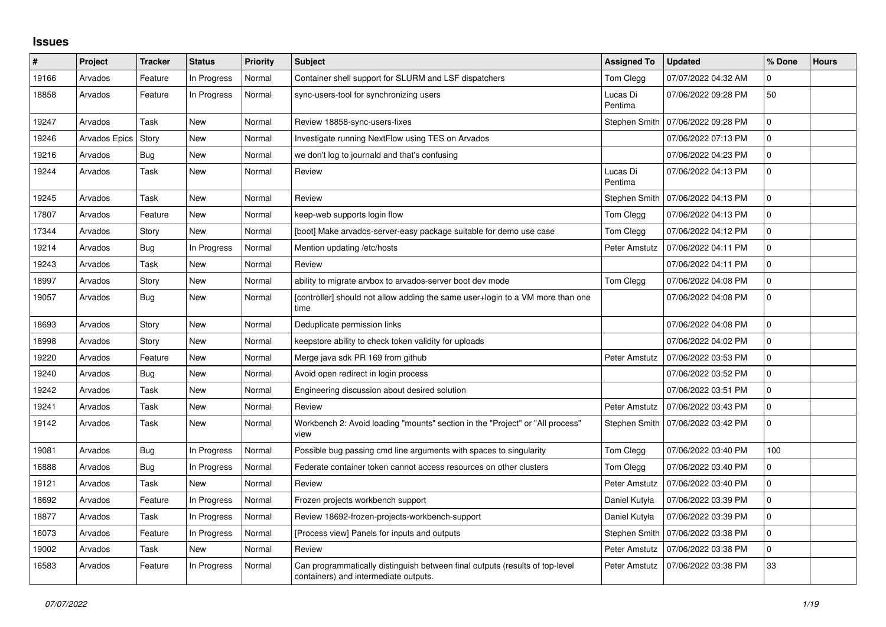## **Issues**

| #     | Project              | <b>Tracker</b> | <b>Status</b> | <b>Priority</b> | <b>Subject</b>                                                                                                        | <b>Assigned To</b>  | <b>Updated</b>      | % Done         | <b>Hours</b> |
|-------|----------------------|----------------|---------------|-----------------|-----------------------------------------------------------------------------------------------------------------------|---------------------|---------------------|----------------|--------------|
| 19166 | Arvados              | Feature        | In Progress   | Normal          | Container shell support for SLURM and LSF dispatchers                                                                 | Tom Clegg           | 07/07/2022 04:32 AM | $\Omega$       |              |
| 18858 | Arvados              | Feature        | In Progress   | Normal          | sync-users-tool for synchronizing users                                                                               | Lucas Di<br>Pentima | 07/06/2022 09:28 PM | 50             |              |
| 19247 | Arvados              | Task           | <b>New</b>    | Normal          | Review 18858-sync-users-fixes                                                                                         | Stephen Smith       | 07/06/2022 09:28 PM | $\mathbf 0$    |              |
| 19246 | <b>Arvados Epics</b> | Story          | <b>New</b>    | Normal          | Investigate running NextFlow using TES on Arvados                                                                     |                     | 07/06/2022 07:13 PM | $\Omega$       |              |
| 19216 | Arvados              | Bug            | New           | Normal          | we don't log to journald and that's confusing                                                                         |                     | 07/06/2022 04:23 PM | 0              |              |
| 19244 | Arvados              | Task           | <b>New</b>    | Normal          | Review                                                                                                                | Lucas Di<br>Pentima | 07/06/2022 04:13 PM | $\mathbf 0$    |              |
| 19245 | Arvados              | Task           | <b>New</b>    | Normal          | Review                                                                                                                | Stephen Smith       | 07/06/2022 04:13 PM | $\overline{0}$ |              |
| 17807 | Arvados              | Feature        | New           | Normal          | keep-web supports login flow                                                                                          | Tom Clegg           | 07/06/2022 04:13 PM | $\mathbf 0$    |              |
| 17344 | Arvados              | Story          | <b>New</b>    | Normal          | [boot] Make arvados-server-easy package suitable for demo use case                                                    | Tom Clegg           | 07/06/2022 04:12 PM | $\mathbf 0$    |              |
| 19214 | Arvados              | Bug            | In Progress   | Normal          | Mention updating /etc/hosts                                                                                           | Peter Amstutz       | 07/06/2022 04:11 PM | $\Omega$       |              |
| 19243 | Arvados              | Task           | New           | Normal          | Review                                                                                                                |                     | 07/06/2022 04:11 PM | 0              |              |
| 18997 | Arvados              | Story          | New           | Normal          | ability to migrate arvbox to arvados-server boot dev mode                                                             | Tom Clegg           | 07/06/2022 04:08 PM | $\mathbf 0$    |              |
| 19057 | Arvados              | Bug            | New           | Normal          | [controller] should not allow adding the same user+login to a VM more than one<br>time                                |                     | 07/06/2022 04:08 PM | $\mathbf 0$    |              |
| 18693 | Arvados              | Story          | New           | Normal          | Deduplicate permission links                                                                                          |                     | 07/06/2022 04:08 PM | $\mathbf 0$    |              |
| 18998 | Arvados              | Story          | <b>New</b>    | Normal          | keepstore ability to check token validity for uploads                                                                 |                     | 07/06/2022 04:02 PM | $\Omega$       |              |
| 19220 | Arvados              | Feature        | New           | Normal          | Merge java sdk PR 169 from github                                                                                     | Peter Amstutz       | 07/06/2022 03:53 PM | $\mathbf 0$    |              |
| 19240 | Arvados              | <b>Bug</b>     | New           | Normal          | Avoid open redirect in login process                                                                                  |                     | 07/06/2022 03:52 PM | $\mathbf 0$    |              |
| 19242 | Arvados              | Task           | New           | Normal          | Engineering discussion about desired solution                                                                         |                     | 07/06/2022 03:51 PM | $\Omega$       |              |
| 19241 | Arvados              | Task           | New           | Normal          | Review                                                                                                                | Peter Amstutz       | 07/06/2022 03:43 PM | $\mathbf 0$    |              |
| 19142 | Arvados              | Task           | New           | Normal          | Workbench 2: Avoid loading "mounts" section in the "Project" or "All process"<br>view                                 | Stephen Smith       | 07/06/2022 03:42 PM | $\mathbf 0$    |              |
| 19081 | Arvados              | Bug            | In Progress   | Normal          | Possible bug passing cmd line arguments with spaces to singularity                                                    | Tom Clegg           | 07/06/2022 03:40 PM | 100            |              |
| 16888 | Arvados              | <b>Bug</b>     | In Progress   | Normal          | Federate container token cannot access resources on other clusters                                                    | Tom Clegg           | 07/06/2022 03:40 PM | 0              |              |
| 19121 | Arvados              | Task           | New           | Normal          | Review                                                                                                                | Peter Amstutz       | 07/06/2022 03:40 PM | $\mathbf 0$    |              |
| 18692 | Arvados              | Feature        | In Progress   | Normal          | Frozen projects workbench support                                                                                     | Daniel Kutyła       | 07/06/2022 03:39 PM | $\mathbf 0$    |              |
| 18877 | Arvados              | Task           | In Progress   | Normal          | Review 18692-frozen-projects-workbench-support                                                                        | Daniel Kutyła       | 07/06/2022 03:39 PM | $\mathbf{0}$   |              |
| 16073 | Arvados              | Feature        | In Progress   | Normal          | [Process view] Panels for inputs and outputs                                                                          | Stephen Smith       | 07/06/2022 03:38 PM | 0              |              |
| 19002 | Arvados              | Task           | <b>New</b>    | Normal          | Review                                                                                                                | Peter Amstutz       | 07/06/2022 03:38 PM | $\mathbf 0$    |              |
| 16583 | Arvados              | Feature        | In Progress   | Normal          | Can programmatically distinguish between final outputs (results of top-level<br>containers) and intermediate outputs. | Peter Amstutz       | 07/06/2022 03:38 PM | 33             |              |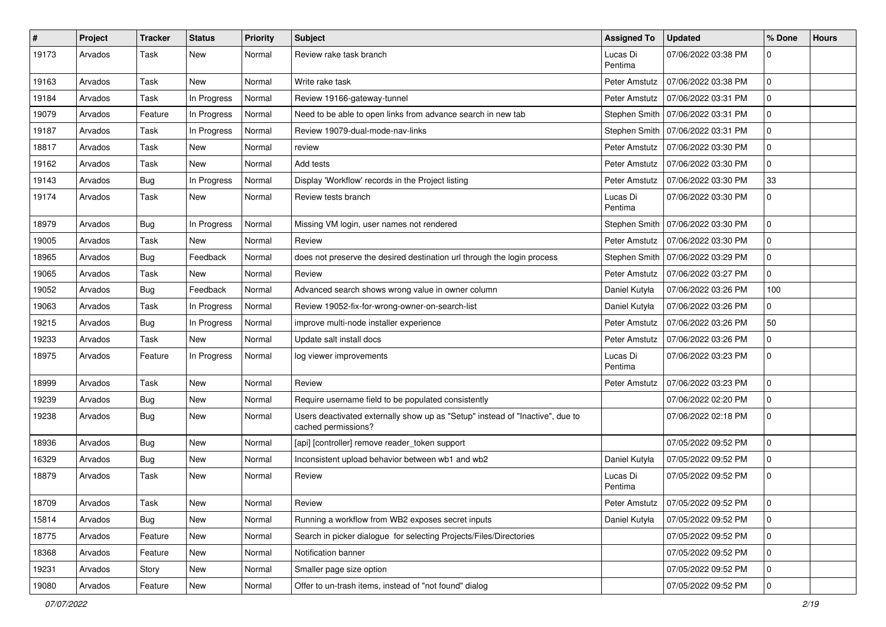| $\#$  | Project | <b>Tracker</b> | <b>Status</b> | <b>Priority</b> | Subject                                                                                              | <b>Assigned To</b>  | <b>Updated</b>                      | % Done      | <b>Hours</b> |
|-------|---------|----------------|---------------|-----------------|------------------------------------------------------------------------------------------------------|---------------------|-------------------------------------|-------------|--------------|
| 19173 | Arvados | Task           | New           | Normal          | Review rake task branch                                                                              | Lucas Di<br>Pentima | 07/06/2022 03:38 PM                 |             |              |
| 19163 | Arvados | Task           | New           | Normal          | Write rake task                                                                                      | Peter Amstutz       | 07/06/2022 03:38 PM                 | $\Omega$    |              |
| 19184 | Arvados | Task           | In Progress   | Normal          | Review 19166-gateway-tunnel                                                                          | Peter Amstutz       | 07/06/2022 03:31 PM                 | 0           |              |
| 19079 | Arvados | Feature        | In Progress   | Normal          | Need to be able to open links from advance search in new tab                                         | Stephen Smith       | 07/06/2022 03:31 PM                 | $\Omega$    |              |
| 19187 | Arvados | Task           | In Progress   | Normal          | Review 19079-dual-mode-nav-links                                                                     | Stephen Smith       | 07/06/2022 03:31 PM                 | 0           |              |
| 18817 | Arvados | Task           | <b>New</b>    | Normal          | review                                                                                               | Peter Amstutz       | 07/06/2022 03:30 PM                 | $\Omega$    |              |
| 19162 | Arvados | Task           | New           | Normal          | Add tests                                                                                            | Peter Amstutz       | 07/06/2022 03:30 PM                 | $\Omega$    |              |
| 19143 | Arvados | <b>Bug</b>     | In Progress   | Normal          | Display 'Workflow' records in the Project listing                                                    | Peter Amstutz       | 07/06/2022 03:30 PM                 | 33          |              |
| 19174 | Arvados | Task           | New           | Normal          | Review tests branch                                                                                  | Lucas Di<br>Pentima | 07/06/2022 03:30 PM                 | $\Omega$    |              |
| 18979 | Arvados | <b>Bug</b>     | In Progress   | Normal          | Missing VM login, user names not rendered                                                            |                     | Stephen Smith   07/06/2022 03:30 PM | $\Omega$    |              |
| 19005 | Arvados | Task           | New           | Normal          | Review                                                                                               | Peter Amstutz       | 07/06/2022 03:30 PM                 | $\mathbf 0$ |              |
| 18965 | Arvados | Bug            | Feedback      | Normal          | does not preserve the desired destination url through the login process                              | Stephen Smith       | 07/06/2022 03:29 PM                 | $\Omega$    |              |
| 19065 | Arvados | Task           | New           | Normal          | Review                                                                                               | Peter Amstutz       | 07/06/2022 03:27 PM                 | $\Omega$    |              |
| 19052 | Arvados | Bug            | Feedback      | Normal          | Advanced search shows wrong value in owner column                                                    | Daniel Kutyła       | 07/06/2022 03:26 PM                 | 100         |              |
| 19063 | Arvados | Task           | In Progress   | Normal          | Review 19052-fix-for-wrong-owner-on-search-list                                                      | Daniel Kutyła       | 07/06/2022 03:26 PM                 | 0           |              |
| 19215 | Arvados | Bug            | In Progress   | Normal          | improve multi-node installer experience                                                              | Peter Amstutz       | 07/06/2022 03:26 PM                 | 50          |              |
| 19233 | Arvados | Task           | New           | Normal          | Update salt install docs                                                                             | Peter Amstutz       | 07/06/2022 03:26 PM                 | 0           |              |
| 18975 | Arvados | Feature        | In Progress   | Normal          | log viewer improvements                                                                              | Lucas Di<br>Pentima | 07/06/2022 03:23 PM                 | $\Omega$    |              |
| 18999 | Arvados | Task           | New           | Normal          | Review                                                                                               | Peter Amstutz       | 07/06/2022 03:23 PM                 | $\Omega$    |              |
| 19239 | Arvados | <b>Bug</b>     | New           | Normal          | Require username field to be populated consistently                                                  |                     | 07/06/2022 02:20 PM                 | $\Omega$    |              |
| 19238 | Arvados | Bug            | New           | Normal          | Users deactivated externally show up as "Setup" instead of "Inactive", due to<br>cached permissions? |                     | 07/06/2022 02:18 PM                 | $\Omega$    |              |
| 18936 | Arvados | Bug            | <b>New</b>    | Normal          | [api] [controller] remove reader_token support                                                       |                     | 07/05/2022 09:52 PM                 | $\Omega$    |              |
| 16329 | Arvados | <b>Bug</b>     | New           | Normal          | Inconsistent upload behavior between wb1 and wb2                                                     | Daniel Kutyła       | 07/05/2022 09:52 PM                 | $\Omega$    |              |
| 18879 | Arvados | Task           | New           | Normal          | Review                                                                                               | Lucas Di<br>Pentima | 07/05/2022 09:52 PM                 |             |              |
| 18709 | Arvados | Task           | New           | Normal          | Review                                                                                               | Peter Amstutz       | 07/05/2022 09:52 PM                 |             |              |
| 15814 | Arvados | Bug            | New           | Normal          | Running a workflow from WB2 exposes secret inputs                                                    | Daniel Kutyła       | 07/05/2022 09:52 PM                 | $\Omega$    |              |
| 18775 | Arvados | Feature        | New           | Normal          | Search in picker dialogue for selecting Projects/Files/Directories                                   |                     | 07/05/2022 09:52 PM                 | 0           |              |
| 18368 | Arvados | Feature        | New           | Normal          | Notification banner                                                                                  |                     | 07/05/2022 09:52 PM                 | 0           |              |
| 19231 | Arvados | Story          | New           | Normal          | Smaller page size option                                                                             |                     | 07/05/2022 09:52 PM                 | 0           |              |
| 19080 | Arvados | Feature        | New           | Normal          | Offer to un-trash items, instead of "not found" dialog                                               |                     | 07/05/2022 09:52 PM                 |             |              |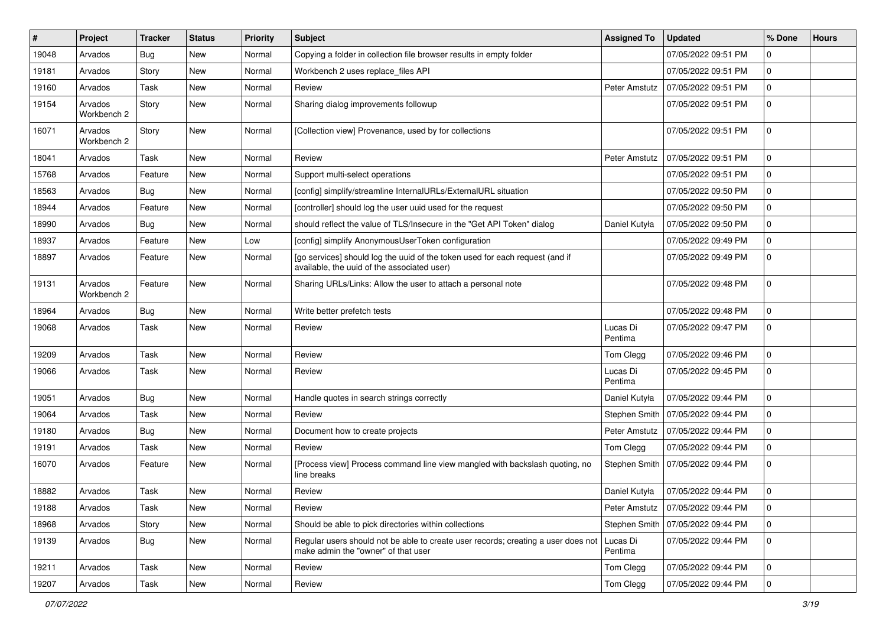| #     | Project                | <b>Tracker</b> | <b>Status</b> | <b>Priority</b> | <b>Subject</b>                                                                                                              | <b>Assigned To</b>  | <b>Updated</b>                      | % Done      | <b>Hours</b> |
|-------|------------------------|----------------|---------------|-----------------|-----------------------------------------------------------------------------------------------------------------------------|---------------------|-------------------------------------|-------------|--------------|
| 19048 | Arvados                | Bug            | <b>New</b>    | Normal          | Copying a folder in collection file browser results in empty folder                                                         |                     | 07/05/2022 09:51 PM                 | 0           |              |
| 19181 | Arvados                | Story          | New           | Normal          | Workbench 2 uses replace_files API                                                                                          |                     | 07/05/2022 09:51 PM                 | $\mathbf 0$ |              |
| 19160 | Arvados                | Task           | <b>New</b>    | Normal          | Review                                                                                                                      | Peter Amstutz       | 07/05/2022 09:51 PM                 | $\mathbf 0$ |              |
| 19154 | Arvados<br>Workbench 2 | Story          | <b>New</b>    | Normal          | Sharing dialog improvements followup                                                                                        |                     | 07/05/2022 09:51 PM                 | 0           |              |
| 16071 | Arvados<br>Workbench 2 | Story          | <b>New</b>    | Normal          | [Collection view] Provenance, used by for collections                                                                       |                     | 07/05/2022 09:51 PM                 | 0           |              |
| 18041 | Arvados                | Task           | New           | Normal          | Review                                                                                                                      | Peter Amstutz       | 07/05/2022 09:51 PM                 | $\mathbf 0$ |              |
| 15768 | Arvados                | Feature        | <b>New</b>    | Normal          | Support multi-select operations                                                                                             |                     | 07/05/2022 09:51 PM                 | 0           |              |
| 18563 | Arvados                | <b>Bug</b>     | New           | Normal          | [config] simplify/streamline InternalURLs/ExternalURL situation                                                             |                     | 07/05/2022 09:50 PM                 | $\mathbf 0$ |              |
| 18944 | Arvados                | Feature        | <b>New</b>    | Normal          | [controller] should log the user uuid used for the request                                                                  |                     | 07/05/2022 09:50 PM                 | $\mathbf 0$ |              |
| 18990 | Arvados                | Bug            | <b>New</b>    | Normal          | should reflect the value of TLS/Insecure in the "Get API Token" dialog                                                      | Daniel Kutyła       | 07/05/2022 09:50 PM                 | 0           |              |
| 18937 | Arvados                | Feature        | <b>New</b>    | Low             | [config] simplify AnonymousUserToken configuration                                                                          |                     | 07/05/2022 09:49 PM                 | $\mathbf 0$ |              |
| 18897 | Arvados                | Feature        | New           | Normal          | [go services] should log the uuid of the token used for each request (and if<br>available, the uuid of the associated user) |                     | 07/05/2022 09:49 PM                 | 0           |              |
| 19131 | Arvados<br>Workbench 2 | Feature        | <b>New</b>    | Normal          | Sharing URLs/Links: Allow the user to attach a personal note                                                                |                     | 07/05/2022 09:48 PM                 | $\mathbf 0$ |              |
| 18964 | Arvados                | <b>Bug</b>     | New           | Normal          | Write better prefetch tests                                                                                                 |                     | 07/05/2022 09:48 PM                 | $\mathbf 0$ |              |
| 19068 | Arvados                | Task           | New           | Normal          | Review                                                                                                                      | Lucas Di<br>Pentima | 07/05/2022 09:47 PM                 | $\mathbf 0$ |              |
| 19209 | Arvados                | Task           | <b>New</b>    | Normal          | Review                                                                                                                      | Tom Clegg           | 07/05/2022 09:46 PM                 | $\mathbf 0$ |              |
| 19066 | Arvados                | Task           | <b>New</b>    | Normal          | Review                                                                                                                      | Lucas Di<br>Pentima | 07/05/2022 09:45 PM                 | 0           |              |
| 19051 | Arvados                | Bug            | New           | Normal          | Handle quotes in search strings correctly                                                                                   | Daniel Kutyła       | 07/05/2022 09:44 PM                 | $\mathbf 0$ |              |
| 19064 | Arvados                | Task           | <b>New</b>    | Normal          | Review                                                                                                                      | Stephen Smith       | 07/05/2022 09:44 PM                 | 0           |              |
| 19180 | Arvados                | Bug            | <b>New</b>    | Normal          | Document how to create projects                                                                                             | Peter Amstutz       | 07/05/2022 09:44 PM                 | $\mathbf 0$ |              |
| 19191 | Arvados                | Task           | New           | Normal          | Review                                                                                                                      | Tom Clegg           | 07/05/2022 09:44 PM                 | $\mathbf 0$ |              |
| 16070 | Arvados                | Feature        | New           | Normal          | [Process view] Process command line view mangled with backslash quoting, no<br>line breaks                                  |                     | Stephen Smith   07/05/2022 09:44 PM | 0           |              |
| 18882 | Arvados                | Task           | <b>New</b>    | Normal          | Review                                                                                                                      | Daniel Kutyła       | 07/05/2022 09:44 PM                 | 0           |              |
| 19188 | Arvados                | Task           | New           | Normal          | Review                                                                                                                      | Peter Amstutz       | 07/05/2022 09:44 PM                 | $\mathbf 0$ |              |
| 18968 | Arvados                | Story          | New           | Normal          | Should be able to pick directories within collections                                                                       | Stephen Smith       | 07/05/2022 09:44 PM                 | $\mathbf 0$ |              |
| 19139 | Arvados                | Bug            | New           | Normal          | Regular users should not be able to create user records; creating a user does not<br>make admin the "owner" of that user    | Lucas Di<br>Pentima | 07/05/2022 09:44 PM                 | $\mathbf 0$ |              |
| 19211 | Arvados                | Task           | New           | Normal          | Review                                                                                                                      | Tom Clegg           | 07/05/2022 09:44 PM                 | $\mathbf 0$ |              |
| 19207 | Arvados                | Task           | New           | Normal          | Review                                                                                                                      | Tom Clegg           | 07/05/2022 09:44 PM                 | 0           |              |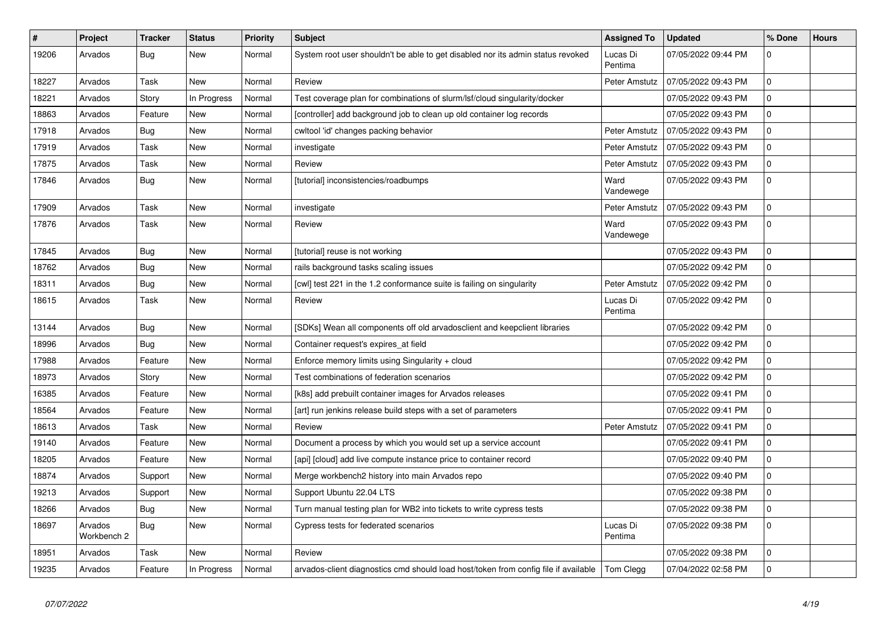| $\#$  | Project                | <b>Tracker</b> | <b>Status</b> | <b>Priority</b> | <b>Subject</b>                                                                      | <b>Assigned To</b>  | <b>Updated</b>      | % Done       | <b>Hours</b> |
|-------|------------------------|----------------|---------------|-----------------|-------------------------------------------------------------------------------------|---------------------|---------------------|--------------|--------------|
| 19206 | Arvados                | Bug            | New           | Normal          | System root user shouldn't be able to get disabled nor its admin status revoked     | Lucas Di<br>Pentima | 07/05/2022 09:44 PM | 0            |              |
| 18227 | Arvados                | Task           | New           | Normal          | Review                                                                              | Peter Amstutz       | 07/05/2022 09:43 PM | 0            |              |
| 18221 | Arvados                | Story          | In Progress   | Normal          | Test coverage plan for combinations of slurm/lsf/cloud singularity/docker           |                     | 07/05/2022 09:43 PM | 0            |              |
| 18863 | Arvados                | Feature        | New           | Normal          | [controller] add background job to clean up old container log records               |                     | 07/05/2022 09:43 PM | $\Omega$     |              |
| 17918 | Arvados                | <b>Bug</b>     | New           | Normal          | cwltool 'id' changes packing behavior                                               | Peter Amstutz       | 07/05/2022 09:43 PM | <sup>0</sup> |              |
| 17919 | Arvados                | Task           | New           | Normal          | investigate                                                                         | Peter Amstutz       | 07/05/2022 09:43 PM | 0            |              |
| 17875 | Arvados                | Task           | New           | Normal          | Review                                                                              | Peter Amstutz       | 07/05/2022 09:43 PM | $\Omega$     |              |
| 17846 | Arvados                | <b>Bug</b>     | New           | Normal          | [tutorial] inconsistencies/roadbumps                                                | Ward<br>Vandewege   | 07/05/2022 09:43 PM | $\Omega$     |              |
| 17909 | Arvados                | Task           | New           | Normal          | investigate                                                                         | Peter Amstutz       | 07/05/2022 09:43 PM | $\Omega$     |              |
| 17876 | Arvados                | Task           | New           | Normal          | Review                                                                              | Ward<br>Vandewege   | 07/05/2022 09:43 PM | $\Omega$     |              |
| 17845 | Arvados                | Bug            | New           | Normal          | [tutorial] reuse is not working                                                     |                     | 07/05/2022 09:43 PM | $\Omega$     |              |
| 18762 | Arvados                | <b>Bug</b>     | New           | Normal          | rails background tasks scaling issues                                               |                     | 07/05/2022 09:42 PM | <sup>0</sup> |              |
| 18311 | Arvados                | <b>Bug</b>     | New           | Normal          | [cwl] test 221 in the 1.2 conformance suite is failing on singularity               | Peter Amstutz       | 07/05/2022 09:42 PM | $\Omega$     |              |
| 18615 | Arvados                | Task           | New           | Normal          | Review                                                                              | Lucas Di<br>Pentima | 07/05/2022 09:42 PM | 0            |              |
| 13144 | Arvados                | <b>Bug</b>     | <b>New</b>    | Normal          | [SDKs] Wean all components off old arvadosclient and keepclient libraries           |                     | 07/05/2022 09:42 PM | $\Omega$     |              |
| 18996 | Arvados                | Bug            | New           | Normal          | Container request's expires at field                                                |                     | 07/05/2022 09:42 PM | 0            |              |
| 17988 | Arvados                | Feature        | <b>New</b>    | Normal          | Enforce memory limits using Singularity + cloud                                     |                     | 07/05/2022 09:42 PM | $\Omega$     |              |
| 18973 | Arvados                | Story          | New           | Normal          | Test combinations of federation scenarios                                           |                     | 07/05/2022 09:42 PM | $\Omega$     |              |
| 16385 | Arvados                | Feature        | <b>New</b>    | Normal          | [k8s] add prebuilt container images for Arvados releases                            |                     | 07/05/2022 09:41 PM | $\Omega$     |              |
| 18564 | Arvados                | Feature        | New           | Normal          | [art] run jenkins release build steps with a set of parameters                      |                     | 07/05/2022 09:41 PM | 0            |              |
| 18613 | Arvados                | Task           | New           | Normal          | Review                                                                              | Peter Amstutz       | 07/05/2022 09:41 PM | $\Omega$     |              |
| 19140 | Arvados                | Feature        | New           | Normal          | Document a process by which you would set up a service account                      |                     | 07/05/2022 09:41 PM | $\Omega$     |              |
| 18205 | Arvados                | Feature        | New           | Normal          | [api] [cloud] add live compute instance price to container record                   |                     | 07/05/2022 09:40 PM | $\Omega$     |              |
| 18874 | Arvados                | Support        | <b>New</b>    | Normal          | Merge workbench2 history into main Arvados repo                                     |                     | 07/05/2022 09:40 PM | <sup>0</sup> |              |
| 19213 | Arvados                | Support        | New           | Normal          | Support Ubuntu 22.04 LTS                                                            |                     | 07/05/2022 09:38 PM | $\Omega$     |              |
| 18266 | Arvados                | <b>Bug</b>     | New           | Normal          | Turn manual testing plan for WB2 into tickets to write cypress tests                |                     | 07/05/2022 09:38 PM | 0            |              |
| 18697 | Arvados<br>Workbench 2 | <b>Bug</b>     | New           | Normal          | Cypress tests for federated scenarios                                               | Lucas Di<br>Pentima | 07/05/2022 09:38 PM | $\Omega$     |              |
| 18951 | Arvados                | Task           | New           | Normal          | Review                                                                              |                     | 07/05/2022 09:38 PM | $\Omega$     |              |
| 19235 | Arvados                | Feature        | In Progress   | Normal          | arvados-client diagnostics cmd should load host/token from config file if available | Tom Clegg           | 07/04/2022 02:58 PM | $\Omega$     |              |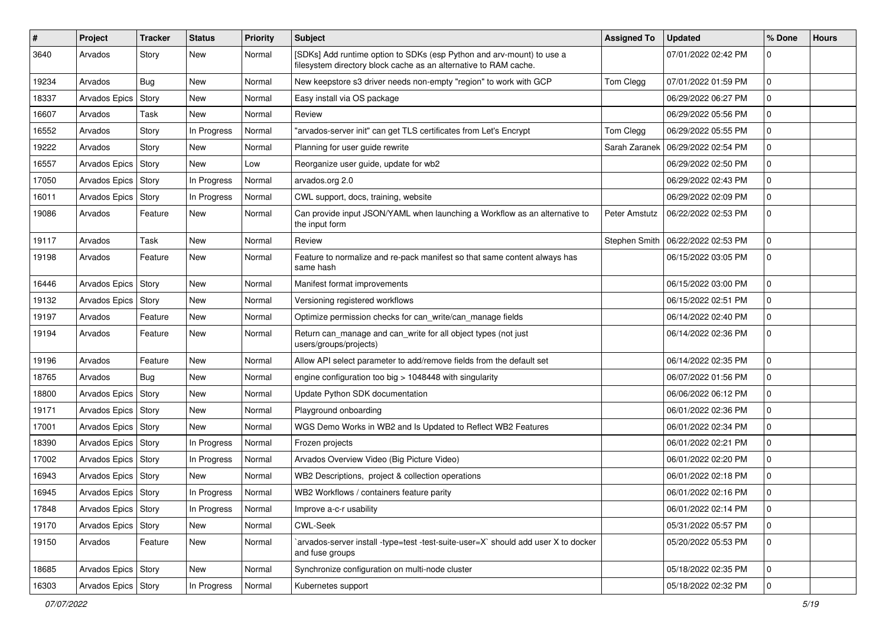| #     | Project               | <b>Tracker</b> | <b>Status</b> | <b>Priority</b> | <b>Subject</b>                                                                                                                            | <b>Assigned To</b> | <b>Updated</b>      | % Done      | <b>Hours</b> |
|-------|-----------------------|----------------|---------------|-----------------|-------------------------------------------------------------------------------------------------------------------------------------------|--------------------|---------------------|-------------|--------------|
| 3640  | Arvados               | Story          | New           | Normal          | [SDKs] Add runtime option to SDKs (esp Python and arv-mount) to use a<br>filesystem directory block cache as an alternative to RAM cache. |                    | 07/01/2022 02:42 PM | 0           |              |
| 19234 | Arvados               | <b>Bug</b>     | New           | Normal          | New keepstore s3 driver needs non-empty "region" to work with GCP                                                                         | Tom Clegg          | 07/01/2022 01:59 PM | $\mathbf 0$ |              |
| 18337 | Arvados Epics         | Story          | New           | Normal          | Easy install via OS package                                                                                                               |                    | 06/29/2022 06:27 PM | 0           |              |
| 16607 | Arvados               | Task           | <b>New</b>    | Normal          | Review                                                                                                                                    |                    | 06/29/2022 05:56 PM | $\mathbf 0$ |              |
| 16552 | Arvados               | Story          | In Progress   | Normal          | "arvados-server init" can get TLS certificates from Let's Encrypt                                                                         | Tom Clegg          | 06/29/2022 05:55 PM | $\mathbf 0$ |              |
| 19222 | Arvados               | Story          | <b>New</b>    | Normal          | Planning for user guide rewrite                                                                                                           | Sarah Zaranek      | 06/29/2022 02:54 PM | $\mathbf 0$ |              |
| 16557 | Arvados Epics   Story |                | New           | Low             | Reorganize user guide, update for wb2                                                                                                     |                    | 06/29/2022 02:50 PM | 0           |              |
| 17050 | Arvados Epics   Story |                | In Progress   | Normal          | arvados.org 2.0                                                                                                                           |                    | 06/29/2022 02:43 PM | 0           |              |
| 16011 | <b>Arvados Epics</b>  | Story          | In Progress   | Normal          | CWL support, docs, training, website                                                                                                      |                    | 06/29/2022 02:09 PM | 0           |              |
| 19086 | Arvados               | Feature        | New           | Normal          | Can provide input JSON/YAML when launching a Workflow as an alternative to<br>the input form                                              | Peter Amstutz      | 06/22/2022 02:53 PM | $\mathbf 0$ |              |
| 19117 | Arvados               | Task           | <b>New</b>    | Normal          | Review                                                                                                                                    | Stephen Smith      | 06/22/2022 02:53 PM | $\mathbf 0$ |              |
| 19198 | Arvados               | Feature        | New           | Normal          | Feature to normalize and re-pack manifest so that same content always has<br>same hash                                                    |                    | 06/15/2022 03:05 PM | $\mathbf 0$ |              |
| 16446 | Arvados Epics   Story |                | New           | Normal          | Manifest format improvements                                                                                                              |                    | 06/15/2022 03:00 PM | 0           |              |
| 19132 | Arvados Epics   Story |                | New           | Normal          | Versioning registered workflows                                                                                                           |                    | 06/15/2022 02:51 PM | 0           |              |
| 19197 | Arvados               | Feature        | New           | Normal          | Optimize permission checks for can_write/can_manage fields                                                                                |                    | 06/14/2022 02:40 PM | $\mathbf 0$ |              |
| 19194 | Arvados               | Feature        | New           | Normal          | Return can_manage and can_write for all object types (not just<br>users/groups/projects)                                                  |                    | 06/14/2022 02:36 PM | 0           |              |
| 19196 | Arvados               | Feature        | <b>New</b>    | Normal          | Allow API select parameter to add/remove fields from the default set                                                                      |                    | 06/14/2022 02:35 PM | $\mathbf 0$ |              |
| 18765 | Arvados               | Bug            | New           | Normal          | engine configuration too big $> 1048448$ with singularity                                                                                 |                    | 06/07/2022 01:56 PM | 0           |              |
| 18800 | <b>Arvados Epics</b>  | Story          | <b>New</b>    | Normal          | Update Python SDK documentation                                                                                                           |                    | 06/06/2022 06:12 PM | $\mathbf 0$ |              |
| 19171 | Arvados Epics   Story |                | New           | Normal          | Playground onboarding                                                                                                                     |                    | 06/01/2022 02:36 PM | 0           |              |
| 17001 | Arvados Epics   Story |                | New           | Normal          | WGS Demo Works in WB2 and Is Updated to Reflect WB2 Features                                                                              |                    | 06/01/2022 02:34 PM | 0           |              |
| 18390 | Arvados Epics         | Story          | In Progress   | Normal          | Frozen projects                                                                                                                           |                    | 06/01/2022 02:21 PM | $\mathbf 0$ |              |
| 17002 | Arvados Epics         | Story          | In Progress   | Normal          | Arvados Overview Video (Big Picture Video)                                                                                                |                    | 06/01/2022 02:20 PM | $\mathbf 0$ |              |
| 16943 | Arvados Epics   Story |                | <b>New</b>    | Normal          | WB2 Descriptions, project & collection operations                                                                                         |                    | 06/01/2022 02:18 PM | 0           |              |
| 16945 | Arvados Epics   Story |                | In Progress   | Normal          | WB2 Workflows / containers feature parity                                                                                                 |                    | 06/01/2022 02:16 PM | 0           |              |
| 17848 | Arvados Epics Story   |                | In Progress   | Normal          | Improve a-c-r usability                                                                                                                   |                    | 06/01/2022 02:14 PM | 0           |              |
| 19170 | Arvados Epics   Story |                | New           | Normal          | <b>CWL-Seek</b>                                                                                                                           |                    | 05/31/2022 05:57 PM | $\mathbf 0$ |              |
| 19150 | Arvados               | Feature        | New           | Normal          | arvados-server install -type=test -test-suite-user=X` should add user X to docker<br>and fuse groups                                      |                    | 05/20/2022 05:53 PM | $\mathbf 0$ |              |
| 18685 | Arvados Epics   Story |                | New           | Normal          | Synchronize configuration on multi-node cluster                                                                                           |                    | 05/18/2022 02:35 PM | $\mathbf 0$ |              |
| 16303 | Arvados Epics   Story |                | In Progress   | Normal          | Kubernetes support                                                                                                                        |                    | 05/18/2022 02:32 PM | 0           |              |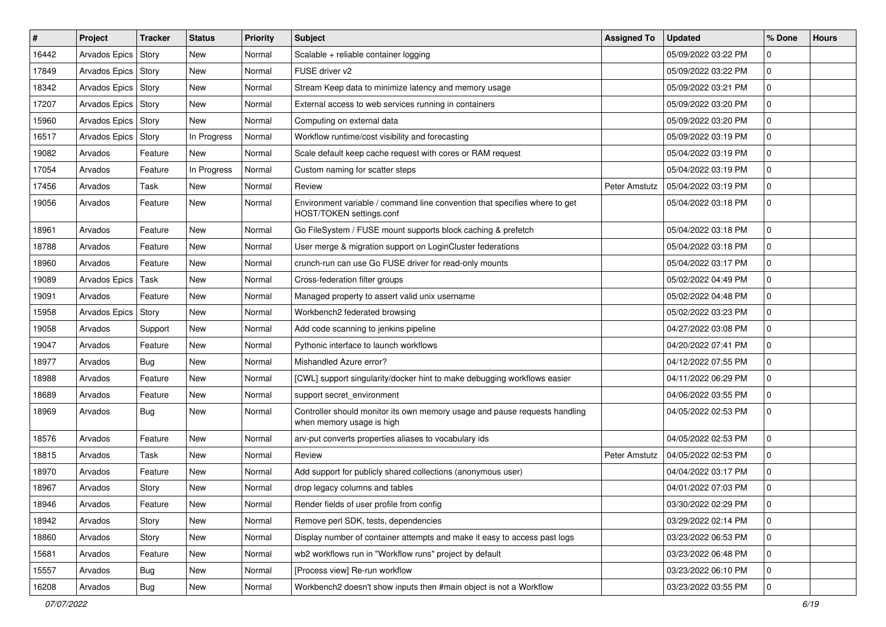| #     | Project               | <b>Tracker</b> | <b>Status</b> | <b>Priority</b> | Subject                                                                                                 | <b>Assigned To</b> | <b>Updated</b>      | % Done       | <b>Hours</b> |
|-------|-----------------------|----------------|---------------|-----------------|---------------------------------------------------------------------------------------------------------|--------------------|---------------------|--------------|--------------|
| 16442 | Arvados Epics         | Story          | New           | Normal          | Scalable + reliable container logging                                                                   |                    | 05/09/2022 03:22 PM | 0            |              |
| 17849 | Arvados Epics         | Story          | <b>New</b>    | Normal          | FUSE driver v2                                                                                          |                    | 05/09/2022 03:22 PM | $\mathbf 0$  |              |
| 18342 | Arvados Epics   Story |                | New           | Normal          | Stream Keep data to minimize latency and memory usage                                                   |                    | 05/09/2022 03:21 PM | $\mathbf 0$  |              |
| 17207 | Arvados Epics   Story |                | New           | Normal          | External access to web services running in containers                                                   |                    | 05/09/2022 03:20 PM | $\mathbf 0$  |              |
| 15960 | <b>Arvados Epics</b>  | Story          | <b>New</b>    | Normal          | Computing on external data                                                                              |                    | 05/09/2022 03:20 PM | $\mathbf 0$  |              |
| 16517 | Arvados Epics   Story |                | In Progress   | Normal          | Workflow runtime/cost visibility and forecasting                                                        |                    | 05/09/2022 03:19 PM | 0            |              |
| 19082 | Arvados               | Feature        | <b>New</b>    | Normal          | Scale default keep cache request with cores or RAM request                                              |                    | 05/04/2022 03:19 PM | $\mathbf 0$  |              |
| 17054 | Arvados               | Feature        | In Progress   | Normal          | Custom naming for scatter steps                                                                         |                    | 05/04/2022 03:19 PM | $\mathbf 0$  |              |
| 17456 | Arvados               | Task           | New           | Normal          | Review                                                                                                  | Peter Amstutz      | 05/04/2022 03:19 PM | $\mathbf 0$  |              |
| 19056 | Arvados               | Feature        | New           | Normal          | Environment variable / command line convention that specifies where to get<br>HOST/TOKEN settings.conf  |                    | 05/04/2022 03:18 PM | $\mathbf 0$  |              |
| 18961 | Arvados               | Feature        | <b>New</b>    | Normal          | Go FileSystem / FUSE mount supports block caching & prefetch                                            |                    | 05/04/2022 03:18 PM | $\mathbf 0$  |              |
| 18788 | Arvados               | Feature        | New           | Normal          | User merge & migration support on LoginCluster federations                                              |                    | 05/04/2022 03:18 PM | $\mathbf 0$  |              |
| 18960 | Arvados               | Feature        | <b>New</b>    | Normal          | crunch-run can use Go FUSE driver for read-only mounts                                                  |                    | 05/04/2022 03:17 PM | 0            |              |
| 19089 | <b>Arvados Epics</b>  | Task           | <b>New</b>    | Normal          | Cross-federation filter groups                                                                          |                    | 05/02/2022 04:49 PM | $\mathbf 0$  |              |
| 19091 | Arvados               | Feature        | New           | Normal          | Managed property to assert valid unix username                                                          |                    | 05/02/2022 04:48 PM | $\mathbf 0$  |              |
| 15958 | Arvados Epics   Story |                | New           | Normal          | Workbench2 federated browsing                                                                           |                    | 05/02/2022 03:23 PM | 0            |              |
| 19058 | Arvados               | Support        | New           | Normal          | Add code scanning to jenkins pipeline                                                                   |                    | 04/27/2022 03:08 PM | $\mathbf 0$  |              |
| 19047 | Arvados               | Feature        | New           | Normal          | Pythonic interface to launch workflows                                                                  |                    | 04/20/2022 07:41 PM | $\mathbf 0$  |              |
| 18977 | Arvados               | Bug            | New           | Normal          | Mishandled Azure error?                                                                                 |                    | 04/12/2022 07:55 PM | $\mathbf 0$  |              |
| 18988 | Arvados               | Feature        | New           | Normal          | [CWL] support singularity/docker hint to make debugging workflows easier                                |                    | 04/11/2022 06:29 PM | $\mathbf 0$  |              |
| 18689 | Arvados               | Feature        | New           | Normal          | support secret_environment                                                                              |                    | 04/06/2022 03:55 PM | 0            |              |
| 18969 | Arvados               | <b>Bug</b>     | New           | Normal          | Controller should monitor its own memory usage and pause requests handling<br>when memory usage is high |                    | 04/05/2022 02:53 PM | $\Omega$     |              |
| 18576 | Arvados               | Feature        | <b>New</b>    | Normal          | arv-put converts properties aliases to vocabulary ids                                                   |                    | 04/05/2022 02:53 PM | $\mathbf 0$  |              |
| 18815 | Arvados               | Task           | New           | Normal          | Review                                                                                                  | Peter Amstutz      | 04/05/2022 02:53 PM | $\mathbf 0$  |              |
| 18970 | Arvados               | Feature        | New           | Normal          | Add support for publicly shared collections (anonymous user)                                            |                    | 04/04/2022 03:17 PM | 0            |              |
| 18967 | Arvados               | Story          | New           | Normal          | drop legacy columns and tables                                                                          |                    | 04/01/2022 07:03 PM | $\mathbf 0$  |              |
| 18946 | Arvados               | Feature        | New           | Normal          | Render fields of user profile from config                                                               |                    | 03/30/2022 02:29 PM | l 0          |              |
| 18942 | Arvados               | Story          | New           | Normal          | Remove perl SDK, tests, dependencies                                                                    |                    | 03/29/2022 02:14 PM | 0            |              |
| 18860 | Arvados               | Story          | New           | Normal          | Display number of container attempts and make it easy to access past logs                               |                    | 03/23/2022 06:53 PM | $\mathbf 0$  |              |
| 15681 | Arvados               | Feature        | New           | Normal          | wb2 workflows run in "Workflow runs" project by default                                                 |                    | 03/23/2022 06:48 PM | $\mathbf{0}$ |              |
| 15557 | Arvados               | <b>Bug</b>     | New           | Normal          | [Process view] Re-run workflow                                                                          |                    | 03/23/2022 06:10 PM | 0            |              |
| 16208 | Arvados               | <b>Bug</b>     | New           | Normal          | Workbench2 doesn't show inputs then #main object is not a Workflow                                      |                    | 03/23/2022 03:55 PM | $\mathbf 0$  |              |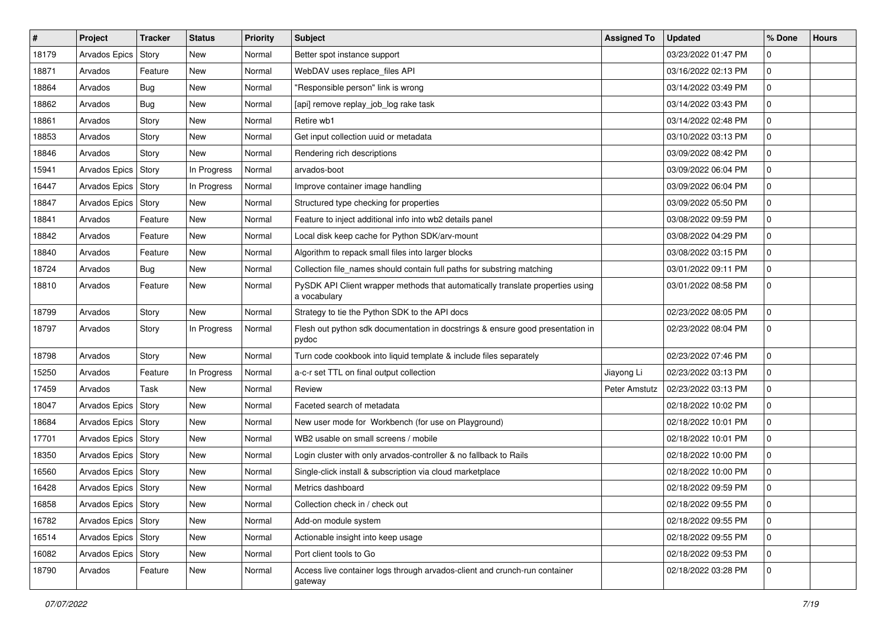| #     | Project               | <b>Tracker</b> | <b>Status</b> | <b>Priority</b> | Subject                                                                                        | <b>Assigned To</b> | <b>Updated</b>      | % Done       | <b>Hours</b> |
|-------|-----------------------|----------------|---------------|-----------------|------------------------------------------------------------------------------------------------|--------------------|---------------------|--------------|--------------|
| 18179 | <b>Arvados Epics</b>  | Story          | New           | Normal          | Better spot instance support                                                                   |                    | 03/23/2022 01:47 PM | 0            |              |
| 18871 | Arvados               | Feature        | <b>New</b>    | Normal          | WebDAV uses replace_files API                                                                  |                    | 03/16/2022 02:13 PM | $\mathbf 0$  |              |
| 18864 | Arvados               | <b>Bug</b>     | New           | Normal          | "Responsible person" link is wrong                                                             |                    | 03/14/2022 03:49 PM | $\mathbf 0$  |              |
| 18862 | Arvados               | Bug            | New           | Normal          | [api] remove replay_job_log rake task                                                          |                    | 03/14/2022 03:43 PM | $\mathbf 0$  |              |
| 18861 | Arvados               | Story          | New           | Normal          | Retire wb1                                                                                     |                    | 03/14/2022 02:48 PM | $\mathbf 0$  |              |
| 18853 | Arvados               | Story          | New           | Normal          | Get input collection uuid or metadata                                                          |                    | 03/10/2022 03:13 PM | 0            |              |
| 18846 | Arvados               | Story          | New           | Normal          | Rendering rich descriptions                                                                    |                    | 03/09/2022 08:42 PM | $\mathbf 0$  |              |
| 15941 | Arvados Epics   Story |                | In Progress   | Normal          | arvados-boot                                                                                   |                    | 03/09/2022 06:04 PM | $\mathbf 0$  |              |
| 16447 | Arvados Epics   Story |                | In Progress   | Normal          | Improve container image handling                                                               |                    | 03/09/2022 06:04 PM | $\mathbf 0$  |              |
| 18847 | Arvados Epics         | Story          | New           | Normal          | Structured type checking for properties                                                        |                    | 03/09/2022 05:50 PM | $\mathbf 0$  |              |
| 18841 | Arvados               | Feature        | New           | Normal          | Feature to inject additional info into wb2 details panel                                       |                    | 03/08/2022 09:59 PM | 0            |              |
| 18842 | Arvados               | Feature        | New           | Normal          | Local disk keep cache for Python SDK/arv-mount                                                 |                    | 03/08/2022 04:29 PM | $\mathbf 0$  |              |
| 18840 | Arvados               | Feature        | New           | Normal          | Algorithm to repack small files into larger blocks                                             |                    | 03/08/2022 03:15 PM | $\mathbf 0$  |              |
| 18724 | Arvados               | Bug            | New           | Normal          | Collection file_names should contain full paths for substring matching                         |                    | 03/01/2022 09:11 PM | 0            |              |
| 18810 | Arvados               | Feature        | New           | Normal          | PySDK API Client wrapper methods that automatically translate properties using<br>a vocabulary |                    | 03/01/2022 08:58 PM | $\mathbf 0$  |              |
| 18799 | Arvados               | Story          | New           | Normal          | Strategy to tie the Python SDK to the API docs                                                 |                    | 02/23/2022 08:05 PM | $\mathbf 0$  |              |
| 18797 | Arvados               | Story          | In Progress   | Normal          | Flesh out python sdk documentation in docstrings & ensure good presentation in<br>pydoc        |                    | 02/23/2022 08:04 PM | $\mathbf 0$  |              |
| 18798 | Arvados               | Story          | New           | Normal          | Turn code cookbook into liquid template & include files separately                             |                    | 02/23/2022 07:46 PM | $\mathbf 0$  |              |
| 15250 | Arvados               | Feature        | In Progress   | Normal          | a-c-r set TTL on final output collection                                                       | Jiayong Li         | 02/23/2022 03:13 PM | 0            |              |
| 17459 | Arvados               | Task           | New           | Normal          | Review                                                                                         | Peter Amstutz      | 02/23/2022 03:13 PM | 0            |              |
| 18047 | Arvados Epics         | Story          | New           | Normal          | Faceted search of metadata                                                                     |                    | 02/18/2022 10:02 PM | $\mathbf 0$  |              |
| 18684 | Arvados Epics         | Story          | New           | Normal          | New user mode for Workbench (for use on Playground)                                            |                    | 02/18/2022 10:01 PM | $\mathbf 0$  |              |
| 17701 | Arvados Epics Story   |                | New           | Normal          | WB2 usable on small screens / mobile                                                           |                    | 02/18/2022 10:01 PM | $\mathbf 0$  |              |
| 18350 | Arvados Epics         | Story          | New           | Normal          | Login cluster with only arvados-controller & no fallback to Rails                              |                    | 02/18/2022 10:00 PM | $\mathbf 0$  |              |
| 16560 | Arvados Epics         | Story          | New           | Normal          | Single-click install & subscription via cloud marketplace                                      |                    | 02/18/2022 10:00 PM | 0            |              |
| 16428 | Arvados Epics Story   |                | <b>New</b>    | Normal          | Metrics dashboard                                                                              |                    | 02/18/2022 09:59 PM | 0            |              |
| 16858 | Arvados Epics   Story |                | New           | Normal          | Collection check in / check out                                                                |                    | 02/18/2022 09:55 PM | l 0          |              |
| 16782 | Arvados Epics   Story |                | New           | Normal          | Add-on module system                                                                           |                    | 02/18/2022 09:55 PM | 0            |              |
| 16514 | Arvados Epics   Story |                | New           | Normal          | Actionable insight into keep usage                                                             |                    | 02/18/2022 09:55 PM | $\mathbf 0$  |              |
| 16082 | Arvados Epics   Story |                | New           | Normal          | Port client tools to Go                                                                        |                    | 02/18/2022 09:53 PM | $\mathbf{0}$ |              |
| 18790 | Arvados               | Feature        | New           | Normal          | Access live container logs through arvados-client and crunch-run container<br>gateway          |                    | 02/18/2022 03:28 PM | $\mathbf{0}$ |              |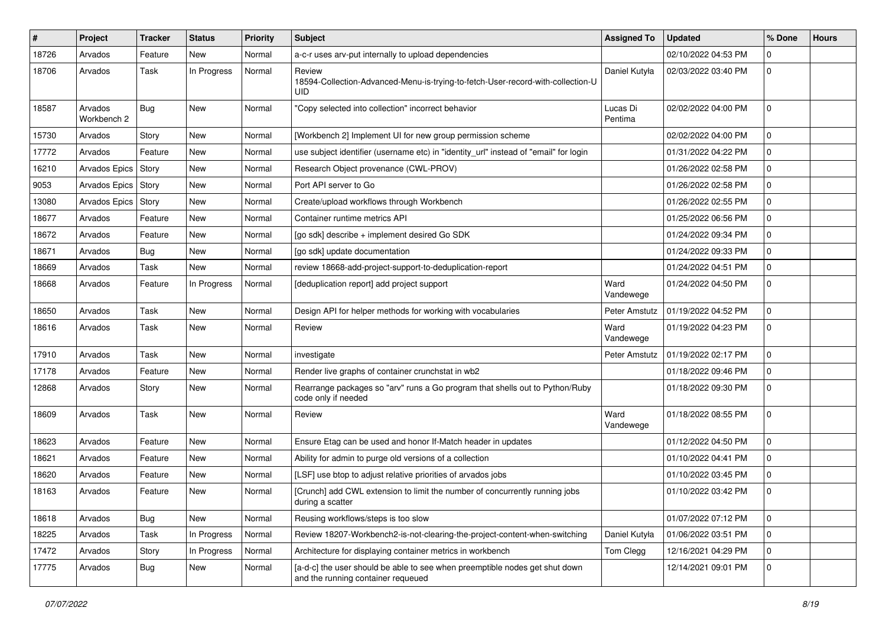| #     | Project                | <b>Tracker</b> | <b>Status</b> | <b>Priority</b> | <b>Subject</b>                                                                                                    | <b>Assigned To</b>  | <b>Updated</b>      | % Done       | <b>Hours</b> |
|-------|------------------------|----------------|---------------|-----------------|-------------------------------------------------------------------------------------------------------------------|---------------------|---------------------|--------------|--------------|
| 18726 | Arvados                | Feature        | New           | Normal          | a-c-r uses arv-put internally to upload dependencies                                                              |                     | 02/10/2022 04:53 PM |              |              |
| 18706 | Arvados                | Task           | In Progress   | Normal          | Review<br>18594-Collection-Advanced-Menu-is-trying-to-fetch-User-record-with-collection-U<br>UID                  | Daniel Kutyła       | 02/03/2022 03:40 PM | $\Omega$     |              |
| 18587 | Arvados<br>Workbench 2 | Bug            | <b>New</b>    | Normal          | 'Copy selected into collection" incorrect behavior                                                                | Lucas Di<br>Pentima | 02/02/2022 04:00 PM | $\Omega$     |              |
| 15730 | Arvados                | Story          | <b>New</b>    | Normal          | [Workbench 2] Implement UI for new group permission scheme                                                        |                     | 02/02/2022 04:00 PM | $\Omega$     |              |
| 17772 | Arvados                | Feature        | New           | Normal          | use subject identifier (username etc) in "identity_url" instead of "email" for login                              |                     | 01/31/2022 04:22 PM | $\Omega$     |              |
| 16210 | Arvados Epics          | Story          | New           | Normal          | Research Object provenance (CWL-PROV)                                                                             |                     | 01/26/2022 02:58 PM | 0            |              |
| 9053  | Arvados Epics          | Story          | New           | Normal          | Port API server to Go                                                                                             |                     | 01/26/2022 02:58 PM | $\Omega$     |              |
| 13080 | Arvados Epics          | Story          | New           | Normal          | Create/upload workflows through Workbench                                                                         |                     | 01/26/2022 02:55 PM | $\Omega$     |              |
| 18677 | Arvados                | Feature        | New           | Normal          | Container runtime metrics API                                                                                     |                     | 01/25/2022 06:56 PM | $\Omega$     |              |
| 18672 | Arvados                | Feature        | New           | Normal          | [go sdk] describe + implement desired Go SDK                                                                      |                     | 01/24/2022 09:34 PM | 0            |              |
| 18671 | Arvados                | Bug            | New           | Normal          | [go sdk] update documentation                                                                                     |                     | 01/24/2022 09:33 PM | <sup>0</sup> |              |
| 18669 | Arvados                | Task           | <b>New</b>    | Normal          | review 18668-add-project-support-to-deduplication-report                                                          |                     | 01/24/2022 04:51 PM | $\Omega$     |              |
| 18668 | Arvados                | Feature        | In Progress   | Normal          | [deduplication report] add project support                                                                        | Ward<br>Vandewege   | 01/24/2022 04:50 PM | <sup>0</sup> |              |
| 18650 | Arvados                | Task           | New           | Normal          | Design API for helper methods for working with vocabularies                                                       | Peter Amstutz       | 01/19/2022 04:52 PM | $\Omega$     |              |
| 18616 | Arvados                | Task           | New           | Normal          | Review                                                                                                            | Ward<br>Vandewege   | 01/19/2022 04:23 PM |              |              |
| 17910 | Arvados                | Task           | <b>New</b>    | Normal          | investigate                                                                                                       | Peter Amstutz       | 01/19/2022 02:17 PM | $\Omega$     |              |
| 17178 | Arvados                | Feature        | New           | Normal          | Render live graphs of container crunchstat in wb2                                                                 |                     | 01/18/2022 09:46 PM | 0            |              |
| 12868 | Arvados                | Story          | New           | Normal          | Rearrange packages so "arv" runs a Go program that shells out to Python/Ruby<br>code only if needed               |                     | 01/18/2022 09:30 PM |              |              |
| 18609 | Arvados                | Task           | New           | Normal          | Review                                                                                                            | Ward<br>Vandewege   | 01/18/2022 08:55 PM | $\Omega$     |              |
| 18623 | Arvados                | Feature        | New           | Normal          | Ensure Etag can be used and honor If-Match header in updates                                                      |                     | 01/12/2022 04:50 PM | $\Omega$     |              |
| 18621 | Arvados                | Feature        | New           | Normal          | Ability for admin to purge old versions of a collection                                                           |                     | 01/10/2022 04:41 PM | $\Omega$     |              |
| 18620 | Arvados                | Feature        | New           | Normal          | [LSF] use btop to adjust relative priorities of arvados jobs                                                      |                     | 01/10/2022 03:45 PM | 0            |              |
| 18163 | Arvados                | Feature        | New           | Normal          | [Crunch] add CWL extension to limit the number of concurrently running jobs<br>during a scatter                   |                     | 01/10/2022 03:42 PM |              |              |
| 18618 | Arvados                | Bug            | New           | Normal          | Reusing workflows/steps is too slow                                                                               |                     | 01/07/2022 07:12 PM | $\Omega$     |              |
| 18225 | Arvados                | Task           | In Progress   | Normal          | Review 18207-Workbench2-is-not-clearing-the-project-content-when-switching                                        | Daniel Kutyła       | 01/06/2022 03:51 PM | $\Omega$     |              |
| 17472 | Arvados                | Story          | In Progress   | Normal          | Architecture for displaying container metrics in workbench                                                        | Tom Clegg           | 12/16/2021 04:29 PM | $\Omega$     |              |
| 17775 | Arvados                | <b>Bug</b>     | New           | Normal          | [a-d-c] the user should be able to see when preemptible nodes get shut down<br>and the running container requeued |                     | 12/14/2021 09:01 PM |              |              |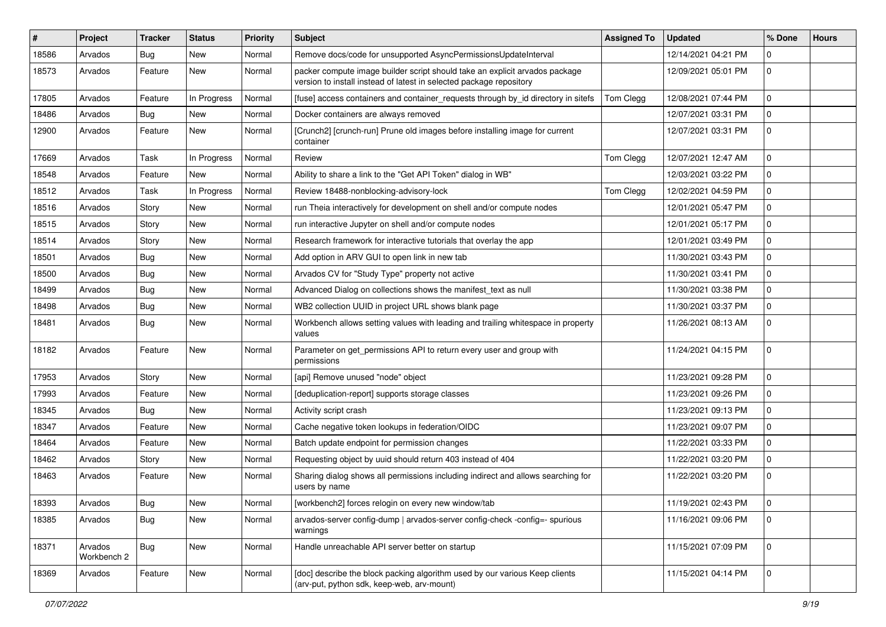| #     | Project                | <b>Tracker</b> | <b>Status</b> | <b>Priority</b> | <b>Subject</b>                                                                                                                                     | <b>Assigned To</b> | <b>Updated</b>      | % Done       | <b>Hours</b> |
|-------|------------------------|----------------|---------------|-----------------|----------------------------------------------------------------------------------------------------------------------------------------------------|--------------------|---------------------|--------------|--------------|
| 18586 | Arvados                | <b>Bug</b>     | New           | Normal          | Remove docs/code for unsupported AsyncPermissionsUpdateInterval                                                                                    |                    | 12/14/2021 04:21 PM |              |              |
| 18573 | Arvados                | Feature        | New           | Normal          | packer compute image builder script should take an explicit arvados package<br>version to install instead of latest in selected package repository |                    | 12/09/2021 05:01 PM |              |              |
| 17805 | Arvados                | Feature        | In Progress   | Normal          | [fuse] access containers and container_requests through by_id directory in sitefs                                                                  | Tom Clegg          | 12/08/2021 07:44 PM |              |              |
| 18486 | Arvados                | Bug            | New           | Normal          | Docker containers are always removed                                                                                                               |                    | 12/07/2021 03:31 PM | 0            |              |
| 12900 | Arvados                | Feature        | New           | Normal          | [Crunch2] [crunch-run] Prune old images before installing image for current<br>container                                                           |                    | 12/07/2021 03:31 PM |              |              |
| 17669 | Arvados                | Task           | In Progress   | Normal          | Review                                                                                                                                             | Tom Clegg          | 12/07/2021 12:47 AM | $\Omega$     |              |
| 18548 | Arvados                | Feature        | New           | Normal          | Ability to share a link to the "Get API Token" dialog in WB"                                                                                       |                    | 12/03/2021 03:22 PM | <sup>0</sup> |              |
| 18512 | Arvados                | Task           | In Progress   | Normal          | Review 18488-nonblocking-advisory-lock                                                                                                             | Tom Clegg          | 12/02/2021 04:59 PM | $\Omega$     |              |
| 18516 | Arvados                | Story          | New           | Normal          | run Theia interactively for development on shell and/or compute nodes                                                                              |                    | 12/01/2021 05:47 PM | $\Omega$     |              |
| 18515 | Arvados                | Story          | New           | Normal          | run interactive Jupyter on shell and/or compute nodes                                                                                              |                    | 12/01/2021 05:17 PM | $\Omega$     |              |
| 18514 | Arvados                | Story          | New           | Normal          | Research framework for interactive tutorials that overlay the app                                                                                  |                    | 12/01/2021 03:49 PM | $\Omega$     |              |
| 18501 | Arvados                | Bug            | New           | Normal          | Add option in ARV GUI to open link in new tab                                                                                                      |                    | 11/30/2021 03:43 PM | 0            |              |
| 18500 | Arvados                | <b>Bug</b>     | New           | Normal          | Arvados CV for "Study Type" property not active                                                                                                    |                    | 11/30/2021 03:41 PM | $\Omega$     |              |
| 18499 | Arvados                | Bug            | New           | Normal          | Advanced Dialog on collections shows the manifest text as null                                                                                     |                    | 11/30/2021 03:38 PM | $\Omega$     |              |
| 18498 | Arvados                | <b>Bug</b>     | New           | Normal          | WB2 collection UUID in project URL shows blank page                                                                                                |                    | 11/30/2021 03:37 PM |              |              |
| 18481 | Arvados                | Bug            | New           | Normal          | Workbench allows setting values with leading and trailing whitespace in property<br>values                                                         |                    | 11/26/2021 08:13 AM |              |              |
| 18182 | Arvados                | Feature        | New           | Normal          | Parameter on get_permissions API to return every user and group with<br>permissions                                                                |                    | 11/24/2021 04:15 PM |              |              |
| 17953 | Arvados                | Story          | New           | Normal          | [api] Remove unused "node" object                                                                                                                  |                    | 11/23/2021 09:28 PM |              |              |
| 17993 | Arvados                | Feature        | New           | Normal          | [deduplication-report] supports storage classes                                                                                                    |                    | 11/23/2021 09:26 PM | $\Omega$     |              |
| 18345 | Arvados                | Bug            | New           | Normal          | Activity script crash                                                                                                                              |                    | 11/23/2021 09:13 PM | $\Omega$     |              |
| 18347 | Arvados                | Feature        | New           | Normal          | Cache negative token lookups in federation/OIDC                                                                                                    |                    | 11/23/2021 09:07 PM |              |              |
| 18464 | Arvados                | Feature        | <b>New</b>    | Normal          | Batch update endpoint for permission changes                                                                                                       |                    | 11/22/2021 03:33 PM | $\Omega$     |              |
| 18462 | Arvados                | Story          | New           | Normal          | Requesting object by uuid should return 403 instead of 404                                                                                         |                    | 11/22/2021 03:20 PM |              |              |
| 18463 | Arvados                | Feature        | New           | Normal          | Sharing dialog shows all permissions including indirect and allows searching for<br>users by name                                                  |                    | 11/22/2021 03:20 PM |              |              |
| 18393 | Arvados                | <b>Bug</b>     | New           | Normal          | [workbench2] forces relogin on every new window/tab                                                                                                |                    | 11/19/2021 02:43 PM |              |              |
| 18385 | Arvados                | <b>Bug</b>     | New           | Normal          | arvados-server config-dump   arvados-server config-check -config=- spurious<br>warnings                                                            |                    | 11/16/2021 09:06 PM |              |              |
| 18371 | Arvados<br>Workbench 2 | Bug            | New           | Normal          | Handle unreachable API server better on startup                                                                                                    |                    | 11/15/2021 07:09 PM |              |              |
| 18369 | Arvados                | Feature        | New           | Normal          | [doc] describe the block packing algorithm used by our various Keep clients<br>(arv-put, python sdk, keep-web, arv-mount)                          |                    | 11/15/2021 04:14 PM |              |              |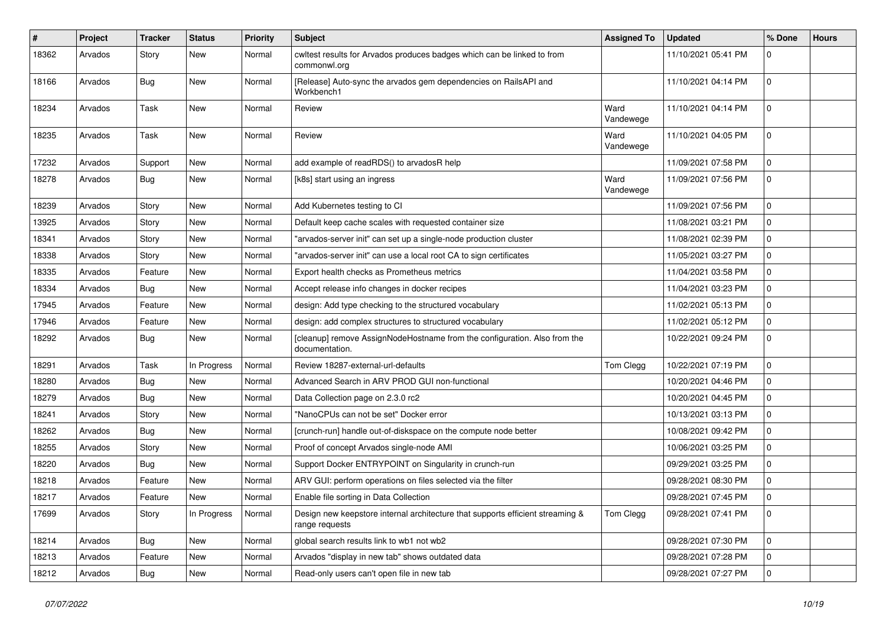| #     | Project | <b>Tracker</b> | <b>Status</b> | <b>Priority</b> | Subject                                                                                          | <b>Assigned To</b> | <b>Updated</b>      | % Done       | <b>Hours</b> |
|-------|---------|----------------|---------------|-----------------|--------------------------------------------------------------------------------------------------|--------------------|---------------------|--------------|--------------|
| 18362 | Arvados | Story          | <b>New</b>    | Normal          | cwltest results for Arvados produces badges which can be linked to from<br>commonwl.org          |                    | 11/10/2021 05:41 PM | 0            |              |
| 18166 | Arvados | Bug            | New           | Normal          | [Release] Auto-sync the arvados gem dependencies on RailsAPI and<br>Workbench1                   |                    | 11/10/2021 04:14 PM | $\mathbf 0$  |              |
| 18234 | Arvados | Task           | New           | Normal          | Review                                                                                           | Ward<br>Vandewege  | 11/10/2021 04:14 PM | $\mathbf 0$  |              |
| 18235 | Arvados | Task           | <b>New</b>    | Normal          | Review                                                                                           | Ward<br>Vandewege  | 11/10/2021 04:05 PM | $\Omega$     |              |
| 17232 | Arvados | Support        | New           | Normal          | add example of readRDS() to arvadosR help                                                        |                    | 11/09/2021 07:58 PM | $\mathbf 0$  |              |
| 18278 | Arvados | <b>Bug</b>     | <b>New</b>    | Normal          | [k8s] start using an ingress                                                                     | Ward<br>Vandewege  | 11/09/2021 07:56 PM | $\mathbf 0$  |              |
| 18239 | Arvados | Story          | <b>New</b>    | Normal          | Add Kubernetes testing to CI                                                                     |                    | 11/09/2021 07:56 PM | 0            |              |
| 13925 | Arvados | Story          | <b>New</b>    | Normal          | Default keep cache scales with requested container size                                          |                    | 11/08/2021 03:21 PM | $\mathbf 0$  |              |
| 18341 | Arvados | Story          | <b>New</b>    | Normal          | 'arvados-server init" can set up a single-node production cluster                                |                    | 11/08/2021 02:39 PM | 0            |              |
| 18338 | Arvados | Story          | <b>New</b>    | Normal          | 'arvados-server init" can use a local root CA to sign certificates                               |                    | 11/05/2021 03:27 PM | $\mathbf 0$  |              |
| 18335 | Arvados | Feature        | <b>New</b>    | Normal          | Export health checks as Prometheus metrics                                                       |                    | 11/04/2021 03:58 PM | 0            |              |
| 18334 | Arvados | Bug            | <b>New</b>    | Normal          | Accept release info changes in docker recipes                                                    |                    | 11/04/2021 03:23 PM | 0            |              |
| 17945 | Arvados | Feature        | New           | Normal          | design: Add type checking to the structured vocabulary                                           |                    | 11/02/2021 05:13 PM | $\mathbf 0$  |              |
| 17946 | Arvados | Feature        | New           | Normal          | design: add complex structures to structured vocabulary                                          |                    | 11/02/2021 05:12 PM | $\mathbf 0$  |              |
| 18292 | Arvados | Bug            | New           | Normal          | [cleanup] remove AssignNodeHostname from the configuration. Also from the<br>documentation.      |                    | 10/22/2021 09:24 PM | 0            |              |
| 18291 | Arvados | Task           | In Progress   | Normal          | Review 18287-external-url-defaults                                                               | Tom Clegg          | 10/22/2021 07:19 PM | 0            |              |
| 18280 | Arvados | Bug            | <b>New</b>    | Normal          | Advanced Search in ARV PROD GUI non-functional                                                   |                    | 10/20/2021 04:46 PM | $\mathbf 0$  |              |
| 18279 | Arvados | Bug            | New           | Normal          | Data Collection page on 2.3.0 rc2                                                                |                    | 10/20/2021 04:45 PM | 0            |              |
| 18241 | Arvados | Story          | <b>New</b>    | Normal          | "NanoCPUs can not be set" Docker error                                                           |                    | 10/13/2021 03:13 PM | 0            |              |
| 18262 | Arvados | Bug            | New           | Normal          | [crunch-run] handle out-of-diskspace on the compute node better                                  |                    | 10/08/2021 09:42 PM | $\mathbf 0$  |              |
| 18255 | Arvados | Story          | <b>New</b>    | Normal          | Proof of concept Arvados single-node AMI                                                         |                    | 10/06/2021 03:25 PM | $\mathbf 0$  |              |
| 18220 | Arvados | Bug            | <b>New</b>    | Normal          | Support Docker ENTRYPOINT on Singularity in crunch-run                                           |                    | 09/29/2021 03:25 PM | 0            |              |
| 18218 | Arvados | Feature        | <b>New</b>    | Normal          | ARV GUI: perform operations on files selected via the filter                                     |                    | 09/28/2021 08:30 PM | $\mathbf 0$  |              |
| 18217 | Arvados | Feature        | New           | Normal          | Enable file sorting in Data Collection                                                           |                    | 09/28/2021 07:45 PM | 0            |              |
| 17699 | Arvados | Story          | In Progress   | Normal          | Design new keepstore internal architecture that supports efficient streaming &<br>range requests | Tom Clegg          | 09/28/2021 07:41 PM | 0            |              |
| 18214 | Arvados | Bug            | New           | Normal          | global search results link to wb1 not wb2                                                        |                    | 09/28/2021 07:30 PM | 0            |              |
| 18213 | Arvados | Feature        | New           | Normal          | Arvados "display in new tab" shows outdated data                                                 |                    | 09/28/2021 07:28 PM | $\mathbf{0}$ |              |
| 18212 | Arvados | Bug            | New           | Normal          | Read-only users can't open file in new tab                                                       |                    | 09/28/2021 07:27 PM | $\mathbf{0}$ |              |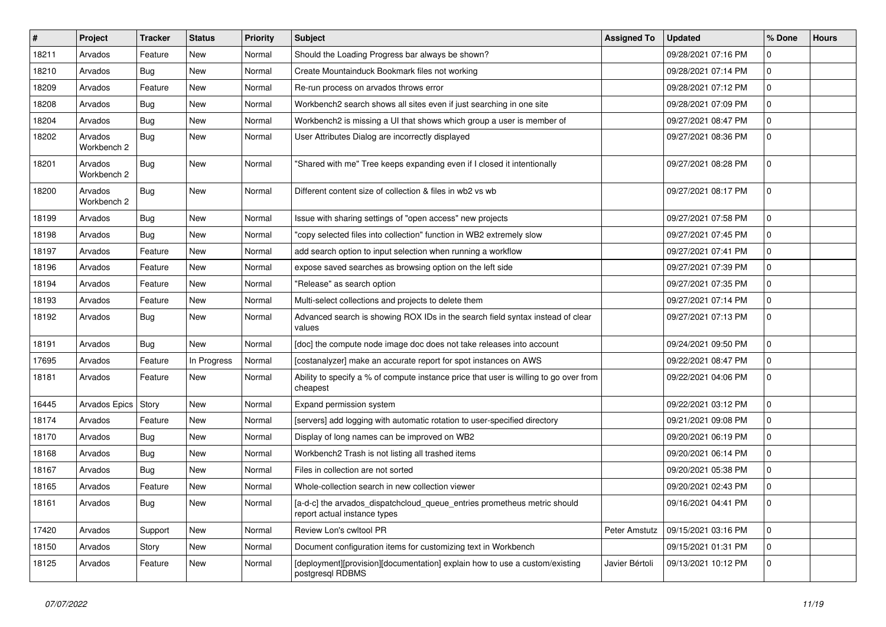| $\sharp$ | Project                | <b>Tracker</b> | <b>Status</b> | <b>Priority</b> | Subject                                                                                                  | <b>Assigned To</b> | <b>Updated</b>      | % Done       | <b>Hours</b> |
|----------|------------------------|----------------|---------------|-----------------|----------------------------------------------------------------------------------------------------------|--------------------|---------------------|--------------|--------------|
| 18211    | Arvados                | Feature        | New           | Normal          | Should the Loading Progress bar always be shown?                                                         |                    | 09/28/2021 07:16 PM | 0            |              |
| 18210    | Arvados                | Bug            | <b>New</b>    | Normal          | Create Mountainduck Bookmark files not working                                                           |                    | 09/28/2021 07:14 PM | <sup>0</sup> |              |
| 18209    | Arvados                | Feature        | <b>New</b>    | Normal          | Re-run process on arvados throws error                                                                   |                    | 09/28/2021 07:12 PM | 0            |              |
| 18208    | Arvados                | Bug            | New           | Normal          | Workbench2 search shows all sites even if just searching in one site                                     |                    | 09/28/2021 07:09 PM | $\Omega$     |              |
| 18204    | Arvados                | <b>Bug</b>     | <b>New</b>    | Normal          | Workbench2 is missing a UI that shows which group a user is member of                                    |                    | 09/27/2021 08:47 PM | 0            |              |
| 18202    | Arvados<br>Workbench 2 | Bug            | New           | Normal          | User Attributes Dialog are incorrectly displayed                                                         |                    | 09/27/2021 08:36 PM | U            |              |
| 18201    | Arvados<br>Workbench 2 | Bug            | <b>New</b>    | Normal          | 'Shared with me" Tree keeps expanding even if I closed it intentionally                                  |                    | 09/27/2021 08:28 PM | $\Omega$     |              |
| 18200    | Arvados<br>Workbench 2 | <b>Bug</b>     | <b>New</b>    | Normal          | Different content size of collection & files in wb2 vs wb                                                |                    | 09/27/2021 08:17 PM | $\Omega$     |              |
| 18199    | Arvados                | Bug            | New           | Normal          | Issue with sharing settings of "open access" new projects                                                |                    | 09/27/2021 07:58 PM | 0            |              |
| 18198    | Arvados                | Bug            | <b>New</b>    | Normal          | 'copy selected files into collection" function in WB2 extremely slow                                     |                    | 09/27/2021 07:45 PM | 0            |              |
| 18197    | Arvados                | Feature        | <b>New</b>    | Normal          | add search option to input selection when running a workflow                                             |                    | 09/27/2021 07:41 PM |              |              |
| 18196    | Arvados                | Feature        | New           | Normal          | expose saved searches as browsing option on the left side                                                |                    | 09/27/2021 07:39 PM | 0            |              |
| 18194    | Arvados                | Feature        | New           | Normal          | 'Release" as search option                                                                               |                    | 09/27/2021 07:35 PM | $\Omega$     |              |
| 18193    | Arvados                | Feature        | New           | Normal          | Multi-select collections and projects to delete them                                                     |                    | 09/27/2021 07:14 PM | 0            |              |
| 18192    | Arvados                | <b>Bug</b>     | <b>New</b>    | Normal          | Advanced search is showing ROX IDs in the search field syntax instead of clear<br>values                 |                    | 09/27/2021 07:13 PM | 0            |              |
| 18191    | Arvados                | Bug            | New           | Normal          | [doc] the compute node image doc does not take releases into account                                     |                    | 09/24/2021 09:50 PM | 0            |              |
| 17695    | Arvados                | Feature        | In Progress   | Normal          | [costanalyzer] make an accurate report for spot instances on AWS                                         |                    | 09/22/2021 08:47 PM | $\Omega$     |              |
| 18181    | Arvados                | Feature        | New           | Normal          | Ability to specify a % of compute instance price that user is willing to go over from<br>cheapest        |                    | 09/22/2021 04:06 PM | 0            |              |
| 16445    | Arvados Epics   Story  |                | New           | Normal          | Expand permission system                                                                                 |                    | 09/22/2021 03:12 PM | $\Omega$     |              |
| 18174    | Arvados                | Feature        | New           | Normal          | [servers] add logging with automatic rotation to user-specified directory                                |                    | 09/21/2021 09:08 PM | 0            |              |
| 18170    | Arvados                | Bug            | <b>New</b>    | Normal          | Display of long names can be improved on WB2                                                             |                    | 09/20/2021 06:19 PM | 0            |              |
| 18168    | Arvados                | <b>Bug</b>     | New           | Normal          | Workbench2 Trash is not listing all trashed items                                                        |                    | 09/20/2021 06:14 PM | U            |              |
| 18167    | Arvados                | Bug            | New           | Normal          | Files in collection are not sorted                                                                       |                    | 09/20/2021 05:38 PM | $\Omega$     |              |
| 18165    | Arvados                | Feature        | New           | Normal          | Whole-collection search in new collection viewer                                                         |                    | 09/20/2021 02:43 PM | 0            |              |
| 18161    | Arvados                | Bug            | New           | Normal          | [a-d-c] the arvados_dispatchcloud_queue_entries prometheus metric should<br>report actual instance types |                    | 09/16/2021 04:41 PM |              |              |
| 17420    | Arvados                | Support        | New           | Normal          | Review Lon's cwltool PR                                                                                  | Peter Amstutz      | 09/15/2021 03:16 PM | $\mathbf 0$  |              |
| 18150    | Arvados                | Story          | <b>New</b>    | Normal          | Document configuration items for customizing text in Workbench                                           |                    | 09/15/2021 01:31 PM | 0            |              |
| 18125    | Arvados                | Feature        | New           | Normal          | [deployment][provision][documentation] explain how to use a custom/existing<br>postgresgl RDBMS          | Javier Bértoli     | 09/13/2021 10:12 PM | $\Omega$     |              |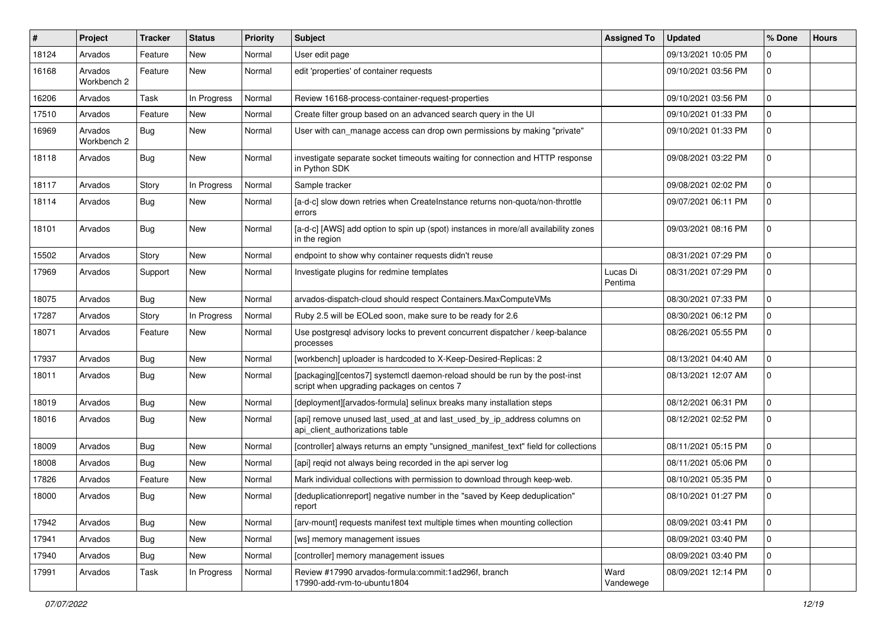| #     | Project                | Tracker    | <b>Status</b> | <b>Priority</b> | Subject                                                                                                                   | <b>Assigned To</b>  | <b>Updated</b>      | % Done         | <b>Hours</b> |
|-------|------------------------|------------|---------------|-----------------|---------------------------------------------------------------------------------------------------------------------------|---------------------|---------------------|----------------|--------------|
| 18124 | Arvados                | Feature    | New           | Normal          | User edit page                                                                                                            |                     | 09/13/2021 10:05 PM | 0              |              |
| 16168 | Arvados<br>Workbench 2 | Feature    | New           | Normal          | edit 'properties' of container requests                                                                                   |                     | 09/10/2021 03:56 PM | $\mathbf 0$    |              |
| 16206 | Arvados                | Task       | In Progress   | Normal          | Review 16168-process-container-request-properties                                                                         |                     | 09/10/2021 03:56 PM | $\mathbf 0$    |              |
| 17510 | Arvados                | Feature    | New           | Normal          | Create filter group based on an advanced search query in the UI                                                           |                     | 09/10/2021 01:33 PM | $\mathbf 0$    |              |
| 16969 | Arvados<br>Workbench 2 | Bug        | New           | Normal          | User with can manage access can drop own permissions by making "private"                                                  |                     | 09/10/2021 01:33 PM | $\mathbf 0$    |              |
| 18118 | Arvados                | <b>Bug</b> | New           | Normal          | investigate separate socket timeouts waiting for connection and HTTP response<br>in Python SDK                            |                     | 09/08/2021 03:22 PM | $\mathbf 0$    |              |
| 18117 | Arvados                | Story      | In Progress   | Normal          | Sample tracker                                                                                                            |                     | 09/08/2021 02:02 PM | $\mathbf 0$    |              |
| 18114 | Arvados                | Bug        | New           | Normal          | [a-d-c] slow down retries when CreateInstance returns non-quota/non-throttle<br>errors                                    |                     | 09/07/2021 06:11 PM | $\mathbf 0$    |              |
| 18101 | Arvados                | Bug        | New           | Normal          | [a-d-c] [AWS] add option to spin up (spot) instances in more/all availability zones<br>in the region                      |                     | 09/03/2021 08:16 PM | $\mathbf 0$    |              |
| 15502 | Arvados                | Story      | <b>New</b>    | Normal          | endpoint to show why container requests didn't reuse                                                                      |                     | 08/31/2021 07:29 PM | $\mathbf 0$    |              |
| 17969 | Arvados                | Support    | New           | Normal          | Investigate plugins for redmine templates                                                                                 | Lucas Di<br>Pentima | 08/31/2021 07:29 PM | $\mathbf 0$    |              |
| 18075 | Arvados                | <b>Bug</b> | <b>New</b>    | Normal          | arvados-dispatch-cloud should respect Containers.MaxComputeVMs                                                            |                     | 08/30/2021 07:33 PM | $\mathbf 0$    |              |
| 17287 | Arvados                | Story      | In Progress   | Normal          | Ruby 2.5 will be EOLed soon, make sure to be ready for 2.6                                                                |                     | 08/30/2021 06:12 PM | $\mathbf 0$    |              |
| 18071 | Arvados                | Feature    | New           | Normal          | Use postgresgl advisory locks to prevent concurrent dispatcher / keep-balance<br>processes                                |                     | 08/26/2021 05:55 PM | 0              |              |
| 17937 | Arvados                | <b>Bug</b> | New           | Normal          | [workbench] uploader is hardcoded to X-Keep-Desired-Replicas: 2                                                           |                     | 08/13/2021 04:40 AM | $\mathbf 0$    |              |
| 18011 | Arvados                | Bug        | New           | Normal          | [packaging][centos7] systemctl daemon-reload should be run by the post-inst<br>script when upgrading packages on centos 7 |                     | 08/13/2021 12:07 AM | $\Omega$       |              |
| 18019 | Arvados                | Bug        | New           | Normal          | [deployment][arvados-formula] selinux breaks many installation steps                                                      |                     | 08/12/2021 06:31 PM | $\mathbf 0$    |              |
| 18016 | Arvados                | <b>Bug</b> | New           | Normal          | [api] remove unused last_used_at and last_used_by_ip_address columns on<br>api_client_authorizations table                |                     | 08/12/2021 02:52 PM | $\mathbf 0$    |              |
| 18009 | Arvados                | <b>Bug</b> | New           | Normal          | [controller] always returns an empty "unsigned_manifest_text" field for collections                                       |                     | 08/11/2021 05:15 PM | $\mathbf 0$    |              |
| 18008 | Arvados                | Bug        | New           | Normal          | [api] regid not always being recorded in the api server log                                                               |                     | 08/11/2021 05:06 PM | 0              |              |
| 17826 | Arvados                | Feature    | New           | Normal          | Mark individual collections with permission to download through keep-web.                                                 |                     | 08/10/2021 05:35 PM | 0              |              |
| 18000 | Arvados                | Bug        | New           | Normal          | [deduplicationreport] negative number in the "saved by Keep deduplication"<br>report                                      |                     | 08/10/2021 01:27 PM | 0              |              |
| 17942 | Arvados                | <b>Bug</b> | New           | Normal          | [arv-mount] requests manifest text multiple times when mounting collection                                                |                     | 08/09/2021 03:41 PM | $\mathbf 0$    |              |
| 17941 | Arvados                | Bug        | New           | Normal          | [ws] memory management issues                                                                                             |                     | 08/09/2021 03:40 PM | 0              |              |
| 17940 | Arvados                | Bug        | New           | Normal          | [controller] memory management issues                                                                                     |                     | 08/09/2021 03:40 PM | $\mathbf 0$    |              |
| 17991 | Arvados                | Task       | In Progress   | Normal          | Review #17990 arvados-formula:commit:1ad296f, branch<br>17990-add-rvm-to-ubuntu1804                                       | Ward<br>Vandewege   | 08/09/2021 12:14 PM | $\overline{0}$ |              |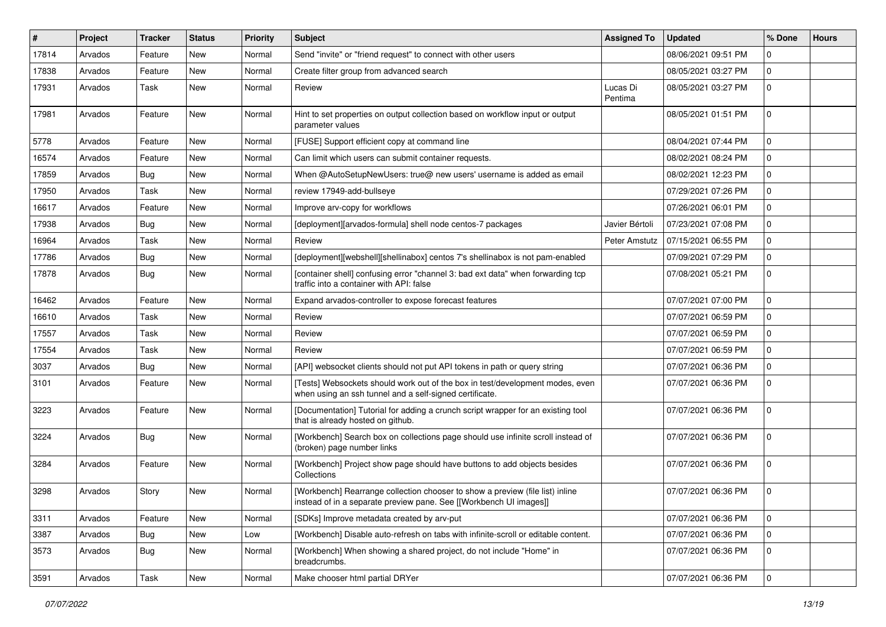| #     | Project | Tracker    | <b>Status</b> | <b>Priority</b> | <b>Subject</b>                                                                                                                                      | <b>Assigned To</b>  | <b>Updated</b>      | % Done      | <b>Hours</b> |
|-------|---------|------------|---------------|-----------------|-----------------------------------------------------------------------------------------------------------------------------------------------------|---------------------|---------------------|-------------|--------------|
| 17814 | Arvados | Feature    | New           | Normal          | Send "invite" or "friend request" to connect with other users                                                                                       |                     | 08/06/2021 09:51 PM | 0           |              |
| 17838 | Arvados | Feature    | New           | Normal          | Create filter group from advanced search                                                                                                            |                     | 08/05/2021 03:27 PM | $\mathbf 0$ |              |
| 17931 | Arvados | Task       | New           | Normal          | Review                                                                                                                                              | Lucas Di<br>Pentima | 08/05/2021 03:27 PM | $\mathbf 0$ |              |
| 17981 | Arvados | Feature    | New           | Normal          | Hint to set properties on output collection based on workflow input or output<br>parameter values                                                   |                     | 08/05/2021 01:51 PM | $\mathbf 0$ |              |
| 5778  | Arvados | Feature    | New           | Normal          | [FUSE] Support efficient copy at command line                                                                                                       |                     | 08/04/2021 07:44 PM | $\mathbf 0$ |              |
| 16574 | Arvados | Feature    | New           | Normal          | Can limit which users can submit container requests.                                                                                                |                     | 08/02/2021 08:24 PM | $\mathbf 0$ |              |
| 17859 | Arvados | <b>Bug</b> | New           | Normal          | When @AutoSetupNewUsers: true@ new users' username is added as email                                                                                |                     | 08/02/2021 12:23 PM | 0           |              |
| 17950 | Arvados | Task       | New           | Normal          | review 17949-add-bullseye                                                                                                                           |                     | 07/29/2021 07:26 PM | $\mathbf 0$ |              |
| 16617 | Arvados | Feature    | New           | Normal          | Improve arv-copy for workflows                                                                                                                      |                     | 07/26/2021 06:01 PM | $\mathbf 0$ |              |
| 17938 | Arvados | <b>Bug</b> | New           | Normal          | [deployment][arvados-formula] shell node centos-7 packages                                                                                          | Javier Bértoli      | 07/23/2021 07:08 PM | 0           |              |
| 16964 | Arvados | Task       | New           | Normal          | Review                                                                                                                                              | Peter Amstutz       | 07/15/2021 06:55 PM | $\mathbf 0$ |              |
| 17786 | Arvados | <b>Bug</b> | New           | Normal          | [deployment][webshell][shellinabox] centos 7's shellinabox is not pam-enabled                                                                       |                     | 07/09/2021 07:29 PM | $\mathbf 0$ |              |
| 17878 | Arvados | <b>Bug</b> | New           | Normal          | [container shell] confusing error "channel 3: bad ext data" when forwarding tcp<br>traffic into a container with API: false                         |                     | 07/08/2021 05:21 PM | $\mathbf 0$ |              |
| 16462 | Arvados | Feature    | New           | Normal          | Expand arvados-controller to expose forecast features                                                                                               |                     | 07/07/2021 07:00 PM | 0           |              |
| 16610 | Arvados | Task       | New           | Normal          | Review                                                                                                                                              |                     | 07/07/2021 06:59 PM | $\mathbf 0$ |              |
| 17557 | Arvados | Task       | New           | Normal          | Review                                                                                                                                              |                     | 07/07/2021 06:59 PM | 0           |              |
| 17554 | Arvados | Task       | New           | Normal          | Review                                                                                                                                              |                     | 07/07/2021 06:59 PM | $\mathbf 0$ |              |
| 3037  | Arvados | Bug        | New           | Normal          | [API] websocket clients should not put API tokens in path or query string                                                                           |                     | 07/07/2021 06:36 PM | $\mathbf 0$ |              |
| 3101  | Arvados | Feature    | New           | Normal          | [Tests] Websockets should work out of the box in test/development modes, even<br>when using an ssh tunnel and a self-signed certificate.            |                     | 07/07/2021 06:36 PM | $\Omega$    |              |
| 3223  | Arvados | Feature    | New           | Normal          | [Documentation] Tutorial for adding a crunch script wrapper for an existing tool<br>that is already hosted on github.                               |                     | 07/07/2021 06:36 PM | $\mathbf 0$ |              |
| 3224  | Arvados | Bug        | New           | Normal          | [Workbench] Search box on collections page should use infinite scroll instead of<br>(broken) page number links                                      |                     | 07/07/2021 06:36 PM | $\mathbf 0$ |              |
| 3284  | Arvados | Feature    | New           | Normal          | [Workbench] Project show page should have buttons to add objects besides<br>Collections                                                             |                     | 07/07/2021 06:36 PM | 0           |              |
| 3298  | Arvados | Story      | New           | Normal          | [Workbench] Rearrange collection chooser to show a preview (file list) inline<br>instead of in a separate preview pane. See [[Workbench UI images]] |                     | 07/07/2021 06:36 PM | 0           |              |
| 3311  | Arvados | Feature    | New           | Normal          | [SDKs] Improve metadata created by arv-put                                                                                                          |                     | 07/07/2021 06:36 PM | 0           |              |
| 3387  | Arvados | <b>Bug</b> | New           | Low             | [Workbench] Disable auto-refresh on tabs with infinite-scroll or editable content.                                                                  |                     | 07/07/2021 06:36 PM | $\mathbf 0$ |              |
| 3573  | Arvados | Bug        | New           | Normal          | [Workbench] When showing a shared project, do not include "Home" in<br>breadcrumbs.                                                                 |                     | 07/07/2021 06:36 PM | $\mathbf 0$ |              |
| 3591  | Arvados | Task       | New           | Normal          | Make chooser html partial DRYer                                                                                                                     |                     | 07/07/2021 06:36 PM | $\mathbf 0$ |              |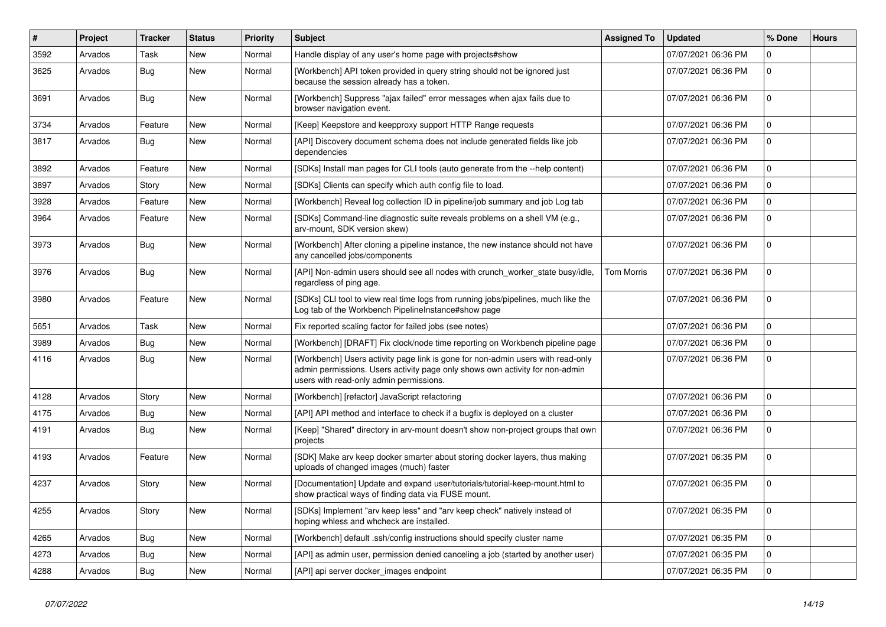| ∥ #  | Project | <b>Tracker</b> | <b>Status</b> | <b>Priority</b> | <b>Subject</b>                                                                                                                                                                                             | <b>Assigned To</b> | <b>Updated</b>      | % Done         | <b>Hours</b> |
|------|---------|----------------|---------------|-----------------|------------------------------------------------------------------------------------------------------------------------------------------------------------------------------------------------------------|--------------------|---------------------|----------------|--------------|
| 3592 | Arvados | Task           | New           | Normal          | Handle display of any user's home page with projects#show                                                                                                                                                  |                    | 07/07/2021 06:36 PM | $\Omega$       |              |
| 3625 | Arvados | Bug            | <b>New</b>    | Normal          | [Workbench] API token provided in query string should not be ignored just<br>because the session already has a token.                                                                                      |                    | 07/07/2021 06:36 PM | $\mathbf 0$    |              |
| 3691 | Arvados | Bug            | New           | Normal          | [Workbench] Suppress "ajax failed" error messages when ajax fails due to<br>browser navigation event.                                                                                                      |                    | 07/07/2021 06:36 PM | $\mathbf 0$    |              |
| 3734 | Arvados | Feature        | New           | Normal          | [Keep] Keepstore and keepproxy support HTTP Range requests                                                                                                                                                 |                    | 07/07/2021 06:36 PM | $\Omega$       |              |
| 3817 | Arvados | <b>Bug</b>     | <b>New</b>    | Normal          | [API] Discovery document schema does not include generated fields like job<br>dependencies                                                                                                                 |                    | 07/07/2021 06:36 PM | $\Omega$       |              |
| 3892 | Arvados | Feature        | New           | Normal          | [SDKs] Install man pages for CLI tools (auto generate from the --help content)                                                                                                                             |                    | 07/07/2021 06:36 PM | 0              |              |
| 3897 | Arvados | Story          | New           | Normal          | [SDKs] Clients can specify which auth config file to load.                                                                                                                                                 |                    | 07/07/2021 06:36 PM | $\mathbf 0$    |              |
| 3928 | Arvados | Feature        | New           | Normal          | [Workbench] Reveal log collection ID in pipeline/job summary and job Log tab                                                                                                                               |                    | 07/07/2021 06:36 PM | $\overline{0}$ |              |
| 3964 | Arvados | Feature        | New           | Normal          | [SDKs] Command-line diagnostic suite reveals problems on a shell VM (e.g.,<br>arv-mount, SDK version skew)                                                                                                 |                    | 07/07/2021 06:36 PM | $\overline{0}$ |              |
| 3973 | Arvados | <b>Bug</b>     | New           | Normal          | [Workbench] After cloning a pipeline instance, the new instance should not have<br>any cancelled jobs/components                                                                                           |                    | 07/07/2021 06:36 PM | $\mathbf 0$    |              |
| 3976 | Arvados | <b>Bug</b>     | <b>New</b>    | Normal          | [API] Non-admin users should see all nodes with crunch_worker_state busy/idle,<br>regardless of ping age.                                                                                                  | <b>Tom Morris</b>  | 07/07/2021 06:36 PM | $\Omega$       |              |
| 3980 | Arvados | Feature        | New           | Normal          | [SDKs] CLI tool to view real time logs from running jobs/pipelines, much like the<br>Log tab of the Workbench PipelineInstance#show page                                                                   |                    | 07/07/2021 06:36 PM | $\overline{0}$ |              |
| 5651 | Arvados | Task           | <b>New</b>    | Normal          | Fix reported scaling factor for failed jobs (see notes)                                                                                                                                                    |                    | 07/07/2021 06:36 PM | $\mathbf 0$    |              |
| 3989 | Arvados | <b>Bug</b>     | New           | Normal          | [Workbench] [DRAFT] Fix clock/node time reporting on Workbench pipeline page                                                                                                                               |                    | 07/07/2021 06:36 PM | $\overline{0}$ |              |
| 4116 | Arvados | Bug            | New           | Normal          | [Workbench] Users activity page link is gone for non-admin users with read-only<br>admin permissions. Users activity page only shows own activity for non-admin<br>users with read-only admin permissions. |                    | 07/07/2021 06:36 PM | $\Omega$       |              |
| 4128 | Arvados | Story          | New           | Normal          | [Workbench] [refactor] JavaScript refactoring                                                                                                                                                              |                    | 07/07/2021 06:36 PM | 0              |              |
| 4175 | Arvados | Bug            | New           | Normal          | [API] API method and interface to check if a bugfix is deployed on a cluster                                                                                                                               |                    | 07/07/2021 06:36 PM | $\mathbf 0$    |              |
| 4191 | Arvados | Bug            | New           | Normal          | [Keep] "Shared" directory in arv-mount doesn't show non-project groups that own<br>projects                                                                                                                |                    | 07/07/2021 06:36 PM | $\mathbf 0$    |              |
| 4193 | Arvados | Feature        | New           | Normal          | [SDK] Make arv keep docker smarter about storing docker layers, thus making<br>uploads of changed images (much) faster                                                                                     |                    | 07/07/2021 06:35 PM | $\Omega$       |              |
| 4237 | Arvados | Story          | <b>New</b>    | Normal          | [Documentation] Update and expand user/tutorials/tutorial-keep-mount.html to<br>show practical ways of finding data via FUSE mount.                                                                        |                    | 07/07/2021 06:35 PM | $\Omega$       |              |
| 4255 | Arvados | Story          | New           | Normal          | [SDKs] Implement "arv keep less" and "arv keep check" natively instead of<br>hoping whless and whcheck are installed.                                                                                      |                    | 07/07/2021 06:35 PM | $\mathbf 0$    |              |
| 4265 | Arvados | <b>Bug</b>     | New           | Normal          | [Workbench] default .ssh/config instructions should specify cluster name                                                                                                                                   |                    | 07/07/2021 06:35 PM | $\Omega$       |              |
| 4273 | Arvados | Bug            | New           | Normal          | [API] as admin user, permission denied canceling a job (started by another user)                                                                                                                           |                    | 07/07/2021 06:35 PM | $\Omega$       |              |
| 4288 | Arvados | <b>Bug</b>     | New           | Normal          | [API] api server docker_images endpoint                                                                                                                                                                    |                    | 07/07/2021 06:35 PM | $\Omega$       |              |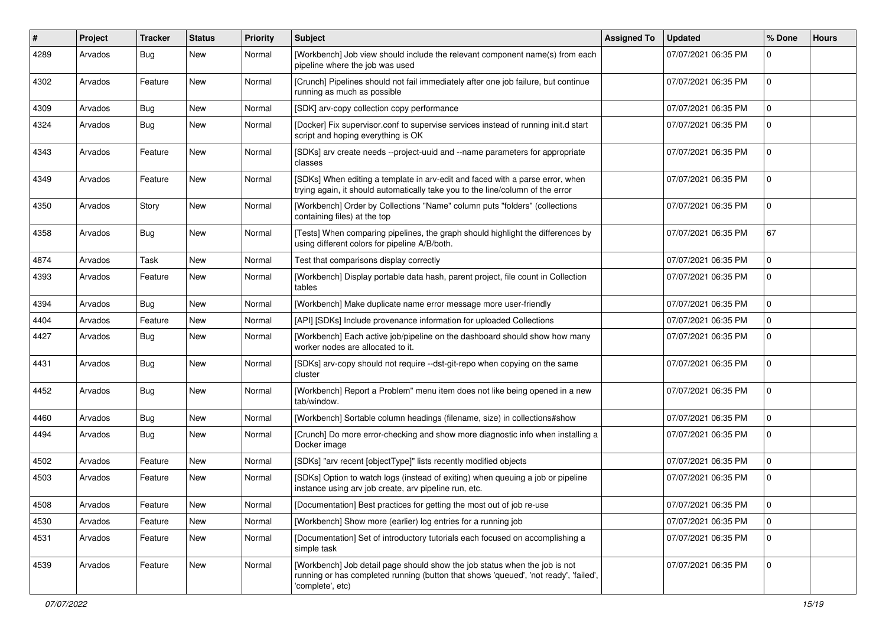| #    | Project | <b>Tracker</b> | <b>Status</b> | <b>Priority</b> | <b>Subject</b>                                                                                                                                                                         | <b>Assigned To</b> | <b>Updated</b>      | % Done       | <b>Hours</b> |
|------|---------|----------------|---------------|-----------------|----------------------------------------------------------------------------------------------------------------------------------------------------------------------------------------|--------------------|---------------------|--------------|--------------|
| 4289 | Arvados | Bug            | New           | Normal          | [Workbench] Job view should include the relevant component name(s) from each<br>pipeline where the job was used                                                                        |                    | 07/07/2021 06:35 PM | U            |              |
| 4302 | Arvados | Feature        | New           | Normal          | [Crunch] Pipelines should not fail immediately after one job failure, but continue<br>running as much as possible                                                                      |                    | 07/07/2021 06:35 PM | 0            |              |
| 4309 | Arvados | Bug            | New           | Normal          | [SDK] arv-copy collection copy performance                                                                                                                                             |                    | 07/07/2021 06:35 PM | $\Omega$     |              |
| 4324 | Arvados | <b>Bug</b>     | New           | Normal          | [Docker] Fix supervisor.conf to supervise services instead of running init.d start<br>script and hoping everything is OK                                                               |                    | 07/07/2021 06:35 PM | U            |              |
| 4343 | Arvados | Feature        | <b>New</b>    | Normal          | [SDKs] arv create needs --project-uuid and --name parameters for appropriate<br>classes                                                                                                |                    | 07/07/2021 06:35 PM | $\Omega$     |              |
| 4349 | Arvados | Feature        | New           | Normal          | [SDKs] When editing a template in arv-edit and faced with a parse error, when<br>trying again, it should automatically take you to the line/column of the error                        |                    | 07/07/2021 06:35 PM | $\Omega$     |              |
| 4350 | Arvados | Story          | New           | Normal          | [Workbench] Order by Collections "Name" column puts "folders" (collections<br>containing files) at the top                                                                             |                    | 07/07/2021 06:35 PM | 0            |              |
| 4358 | Arvados | <b>Bug</b>     | <b>New</b>    | Normal          | [Tests] When comparing pipelines, the graph should highlight the differences by<br>using different colors for pipeline A/B/both.                                                       |                    | 07/07/2021 06:35 PM | 67           |              |
| 4874 | Arvados | Task           | New           | Normal          | Test that comparisons display correctly                                                                                                                                                |                    | 07/07/2021 06:35 PM | $\Omega$     |              |
| 4393 | Arvados | Feature        | New           | Normal          | [Workbench] Display portable data hash, parent project, file count in Collection<br>tables                                                                                             |                    | 07/07/2021 06:35 PM | 0            |              |
| 4394 | Arvados | Bug            | <b>New</b>    | Normal          | [Workbench] Make duplicate name error message more user-friendly                                                                                                                       |                    | 07/07/2021 06:35 PM | <sup>0</sup> |              |
| 4404 | Arvados | Feature        | New           | Normal          | [API] [SDKs] Include provenance information for uploaded Collections                                                                                                                   |                    | 07/07/2021 06:35 PM | U            |              |
| 4427 | Arvados | Bug            | New           | Normal          | [Workbench] Each active job/pipeline on the dashboard should show how many<br>worker nodes are allocated to it.                                                                        |                    | 07/07/2021 06:35 PM | 0            |              |
| 4431 | Arvados | Bug            | New           | Normal          | [SDKs] arv-copy should not require --dst-git-repo when copying on the same<br>cluster                                                                                                  |                    | 07/07/2021 06:35 PM | 0            |              |
| 4452 | Arvados | <b>Bug</b>     | <b>New</b>    | Normal          | [Workbench] Report a Problem" menu item does not like being opened in a new<br>tab/window.                                                                                             |                    | 07/07/2021 06:35 PM | 0            |              |
| 4460 | Arvados | <b>Bug</b>     | New           | Normal          | [Workbench] Sortable column headings (filename, size) in collections#show                                                                                                              |                    | 07/07/2021 06:35 PM | $\Omega$     |              |
| 4494 | Arvados | Bug            | New           | Normal          | [Crunch] Do more error-checking and show more diagnostic info when installing a<br>Docker image                                                                                        |                    | 07/07/2021 06:35 PM | 0            |              |
| 4502 | Arvados | Feature        | <b>New</b>    | Normal          | [SDKs] "arv recent [objectType]" lists recently modified objects                                                                                                                       |                    | 07/07/2021 06:35 PM | $\Omega$     |              |
| 4503 | Arvados | Feature        | New           | Normal          | [SDKs] Option to watch logs (instead of exiting) when queuing a job or pipeline<br>instance using arv job create, arv pipeline run, etc.                                               |                    | 07/07/2021 06:35 PM | 0            |              |
| 4508 | Arvados | Feature        | New           | Normal          | [Documentation] Best practices for getting the most out of job re-use                                                                                                                  |                    | 07/07/2021 06:35 PM | l 0          |              |
| 4530 | Arvados | Feature        | New           | Normal          | [Workbench] Show more (earlier) log entries for a running job                                                                                                                          |                    | 07/07/2021 06:35 PM | $\Omega$     |              |
| 4531 | Arvados | Feature        | New           | Normal          | [Documentation] Set of introductory tutorials each focused on accomplishing a<br>simple task                                                                                           |                    | 07/07/2021 06:35 PM | $\mathbf 0$  |              |
| 4539 | Arvados | Feature        | New           | Normal          | [Workbench] Job detail page should show the job status when the job is not<br>running or has completed running (button that shows 'queued', 'not ready', 'failed',<br>'complete', etc) |                    | 07/07/2021 06:35 PM | $\Omega$     |              |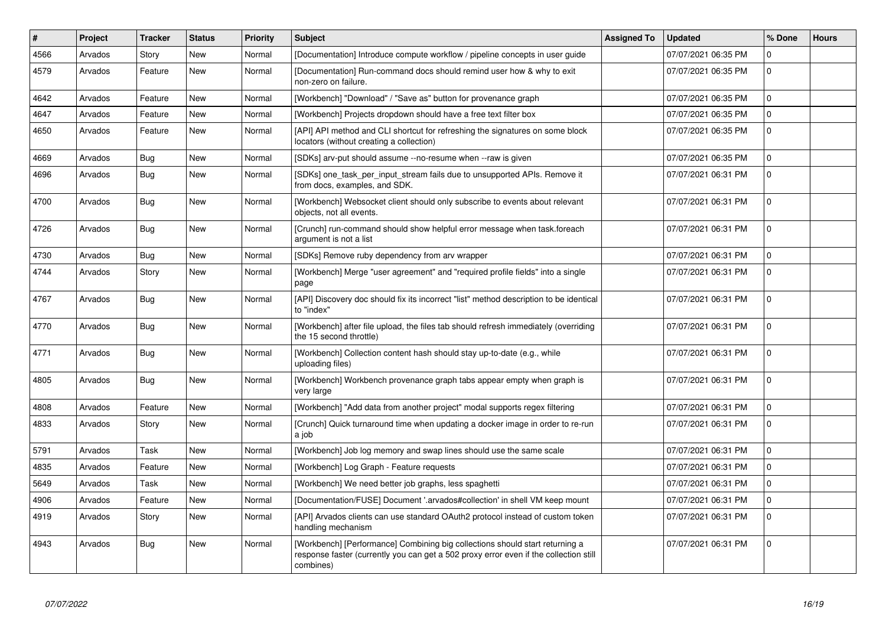| #    | <b>Project</b> | <b>Tracker</b> | <b>Status</b> | <b>Priority</b> | <b>Subject</b>                                                                                                                                                                     | <b>Assigned To</b> | <b>Updated</b>      | % Done         | <b>Hours</b> |
|------|----------------|----------------|---------------|-----------------|------------------------------------------------------------------------------------------------------------------------------------------------------------------------------------|--------------------|---------------------|----------------|--------------|
| 4566 | Arvados        | Story          | New           | Normal          | [Documentation] Introduce compute workflow / pipeline concepts in user guide                                                                                                       |                    | 07/07/2021 06:35 PM | 0              |              |
| 4579 | Arvados        | Feature        | <b>New</b>    | Normal          | [Documentation] Run-command docs should remind user how & why to exit<br>non-zero on failure.                                                                                      |                    | 07/07/2021 06:35 PM | $\Omega$       |              |
| 4642 | Arvados        | Feature        | New           | Normal          | [Workbench] "Download" / "Save as" button for provenance graph                                                                                                                     |                    | 07/07/2021 06:35 PM | $\Omega$       |              |
| 4647 | Arvados        | Feature        | <b>New</b>    | Normal          | [Workbench] Projects dropdown should have a free text filter box                                                                                                                   |                    | 07/07/2021 06:35 PM | $\mathbf 0$    |              |
| 4650 | Arvados        | Feature        | New           | Normal          | [API] API method and CLI shortcut for refreshing the signatures on some block<br>locators (without creating a collection)                                                          |                    | 07/07/2021 06:35 PM | $\mathbf 0$    |              |
| 4669 | Arvados        | Bug            | New           | Normal          | [SDKs] arv-put should assume --no-resume when --raw is given                                                                                                                       |                    | 07/07/2021 06:35 PM | $\mathbf 0$    |              |
| 4696 | Arvados        | Bug            | <b>New</b>    | Normal          | [SDKs] one_task_per_input_stream fails due to unsupported APIs. Remove it<br>from docs, examples, and SDK.                                                                         |                    | 07/07/2021 06:31 PM | $\Omega$       |              |
| 4700 | Arvados        | <b>Bug</b>     | New           | Normal          | [Workbench] Websocket client should only subscribe to events about relevant<br>objects, not all events.                                                                            |                    | 07/07/2021 06:31 PM | $\Omega$       |              |
| 4726 | Arvados        | Bug            | <b>New</b>    | Normal          | [Crunch] run-command should show helpful error message when task.foreach<br>argument is not a list                                                                                 |                    | 07/07/2021 06:31 PM | $\Omega$       |              |
| 4730 | Arvados        | Bug            | <b>New</b>    | Normal          | [SDKs] Remove ruby dependency from arv wrapper                                                                                                                                     |                    | 07/07/2021 06:31 PM | $\mathbf 0$    |              |
| 4744 | Arvados        | Story          | New           | Normal          | [Workbench] Merge "user agreement" and "required profile fields" into a single<br>page                                                                                             |                    | 07/07/2021 06:31 PM | $\overline{0}$ |              |
| 4767 | Arvados        | Bug            | <b>New</b>    | Normal          | [API] Discovery doc should fix its incorrect "list" method description to be identical<br>to "index"                                                                               |                    | 07/07/2021 06:31 PM | $\Omega$       |              |
| 4770 | Arvados        | Bug            | New           | Normal          | [Workbench] after file upload, the files tab should refresh immediately (overriding<br>the 15 second throttle)                                                                     |                    | 07/07/2021 06:31 PM | $\mathbf{0}$   |              |
| 4771 | Arvados        | Bug            | New           | Normal          | [Workbench] Collection content hash should stay up-to-date (e.g., while<br>uploading files)                                                                                        |                    | 07/07/2021 06:31 PM | $\Omega$       |              |
| 4805 | Arvados        | <b>Bug</b>     | New           | Normal          | [Workbench] Workbench provenance graph tabs appear empty when graph is<br>very large                                                                                               |                    | 07/07/2021 06:31 PM | $\Omega$       |              |
| 4808 | Arvados        | Feature        | <b>New</b>    | Normal          | [Workbench] "Add data from another project" modal supports regex filtering                                                                                                         |                    | 07/07/2021 06:31 PM | $\mathbf 0$    |              |
| 4833 | Arvados        | Story          | New           | Normal          | [Crunch] Quick turnaround time when updating a docker image in order to re-run<br>a job                                                                                            |                    | 07/07/2021 06:31 PM | $\Omega$       |              |
| 5791 | Arvados        | Task           | <b>New</b>    | Normal          | [Workbench] Job log memory and swap lines should use the same scale                                                                                                                |                    | 07/07/2021 06:31 PM | $\Omega$       |              |
| 4835 | Arvados        | Feature        | New           | Normal          | [Workbench] Log Graph - Feature requests                                                                                                                                           |                    | 07/07/2021 06:31 PM | $\Omega$       |              |
| 5649 | Arvados        | Task           | New           | Normal          | [Workbench] We need better job graphs, less spaghetti                                                                                                                              |                    | 07/07/2021 06:31 PM | $\Omega$       |              |
| 4906 | Arvados        | Feature        | <b>New</b>    | Normal          | [Documentation/FUSE] Document '.arvados#collection' in shell VM keep mount                                                                                                         |                    | 07/07/2021 06:31 PM | $\Omega$       |              |
| 4919 | Arvados        | Story          | New           | Normal          | [API] Arvados clients can use standard OAuth2 protocol instead of custom token<br>handling mechanism                                                                               |                    | 07/07/2021 06:31 PM | $\Omega$       |              |
| 4943 | Arvados        | Bug            | <b>New</b>    | Normal          | [Workbench] [Performance] Combining big collections should start returning a<br>response faster (currently you can get a 502 proxy error even if the collection still<br>combines) |                    | 07/07/2021 06:31 PM | $\Omega$       |              |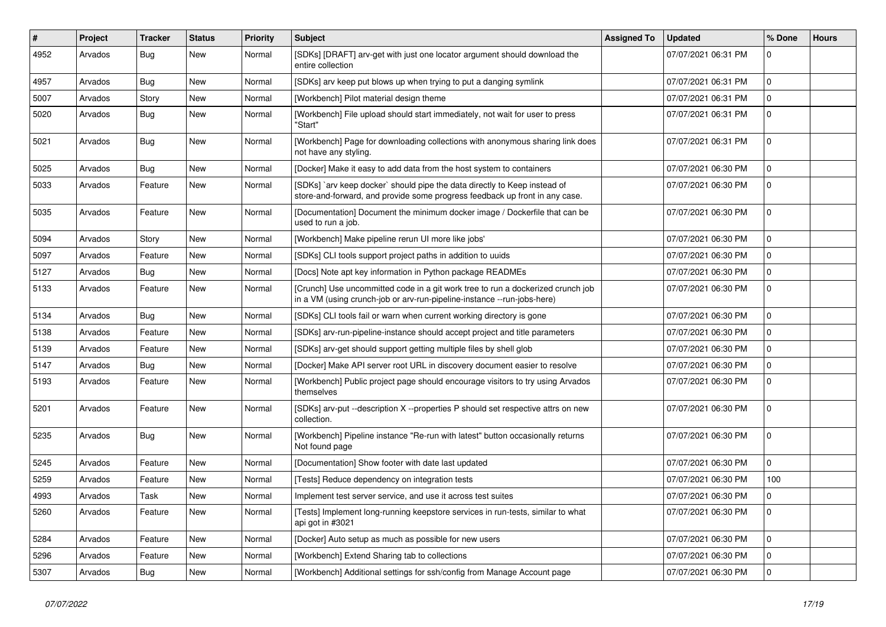| #    | Project | <b>Tracker</b> | <b>Status</b> | <b>Priority</b> | <b>Subject</b>                                                                                                                                             | <b>Assigned To</b> | <b>Updated</b>      | % Done         | <b>Hours</b> |
|------|---------|----------------|---------------|-----------------|------------------------------------------------------------------------------------------------------------------------------------------------------------|--------------------|---------------------|----------------|--------------|
| 4952 | Arvados | <b>Bug</b>     | New           | Normal          | [SDKs] [DRAFT] arv-get with just one locator argument should download the<br>entire collection                                                             |                    | 07/07/2021 06:31 PM | $\Omega$       |              |
| 4957 | Arvados | Bug            | <b>New</b>    | Normal          | [SDKs] arv keep put blows up when trying to put a danging symlink                                                                                          |                    | 07/07/2021 06:31 PM | $\mathbf{0}$   |              |
| 5007 | Arvados | Story          | <b>New</b>    | Normal          | [Workbench] Pilot material design theme                                                                                                                    |                    | 07/07/2021 06:31 PM | $\mathbf{0}$   |              |
| 5020 | Arvados | Bug            | <b>New</b>    | Normal          | [Workbench] File upload should start immediately, not wait for user to press<br>'Start"                                                                    |                    | 07/07/2021 06:31 PM | $\overline{0}$ |              |
| 5021 | Arvados | <b>Bug</b>     | New           | Normal          | [Workbench] Page for downloading collections with anonymous sharing link does<br>not have any styling.                                                     |                    | 07/07/2021 06:31 PM | $\mathbf 0$    |              |
| 5025 | Arvados | <b>Bug</b>     | New           | Normal          | [Docker] Make it easy to add data from the host system to containers                                                                                       |                    | 07/07/2021 06:30 PM | $\Omega$       |              |
| 5033 | Arvados | Feature        | New           | Normal          | [SDKs] `arv keep docker` should pipe the data directly to Keep instead of<br>store-and-forward, and provide some progress feedback up front in any case.   |                    | 07/07/2021 06:30 PM | $\Omega$       |              |
| 5035 | Arvados | Feature        | <b>New</b>    | Normal          | [Documentation] Document the minimum docker image / Dockerfile that can be<br>used to run a job.                                                           |                    | 07/07/2021 06:30 PM | $\Omega$       |              |
| 5094 | Arvados | Story          | New           | Normal          | [Workbench] Make pipeline rerun UI more like jobs'                                                                                                         |                    | 07/07/2021 06:30 PM | 0              |              |
| 5097 | Arvados | Feature        | New           | Normal          | [SDKs] CLI tools support project paths in addition to uuids                                                                                                |                    | 07/07/2021 06:30 PM | $\mathbf 0$    |              |
| 5127 | Arvados | Bug            | New           | Normal          | [Docs] Note apt key information in Python package READMEs                                                                                                  |                    | 07/07/2021 06:30 PM | $\mathbf 0$    |              |
| 5133 | Arvados | Feature        | New           | Normal          | [Crunch] Use uncommitted code in a git work tree to run a dockerized crunch job<br>in a VM (using crunch-job or arv-run-pipeline-instance --run-jobs-here) |                    | 07/07/2021 06:30 PM | $\mathbf 0$    |              |
| 5134 | Arvados | <b>Bug</b>     | New           | Normal          | [SDKs] CLI tools fail or warn when current working directory is gone                                                                                       |                    | 07/07/2021 06:30 PM | 0              |              |
| 5138 | Arvados | Feature        | <b>New</b>    | Normal          | [SDKs] arv-run-pipeline-instance should accept project and title parameters                                                                                |                    | 07/07/2021 06:30 PM | $\mathbf 0$    |              |
| 5139 | Arvados | Feature        | New           | Normal          | [SDKs] arv-get should support getting multiple files by shell glob                                                                                         |                    | 07/07/2021 06:30 PM | $\mathbf{0}$   |              |
| 5147 | Arvados | Bug            | New           | Normal          | [Docker] Make API server root URL in discovery document easier to resolve                                                                                  |                    | 07/07/2021 06:30 PM | $\mathbf{0}$   |              |
| 5193 | Arvados | Feature        | New           | Normal          | [Workbench] Public project page should encourage visitors to try using Arvados<br>themselves                                                               |                    | 07/07/2021 06:30 PM | $\mathbf 0$    |              |
| 5201 | Arvados | Feature        | New           | Normal          | [SDKs] arv-put --description X --properties P should set respective attrs on new<br>collection.                                                            |                    | 07/07/2021 06:30 PM | $\mathbf 0$    |              |
| 5235 | Arvados | <b>Bug</b>     | New           | Normal          | [Workbench] Pipeline instance "Re-run with latest" button occasionally returns<br>Not found page                                                           |                    | 07/07/2021 06:30 PM | $\Omega$       |              |
| 5245 | Arvados | Feature        | <b>New</b>    | Normal          | [Documentation] Show footer with date last updated                                                                                                         |                    | 07/07/2021 06:30 PM | $\mathbf 0$    |              |
| 5259 | Arvados | Feature        | New           | Normal          | [Tests] Reduce dependency on integration tests                                                                                                             |                    | 07/07/2021 06:30 PM | 100            |              |
| 4993 | Arvados | Task           | <b>New</b>    | Normal          | Implement test server service, and use it across test suites                                                                                               |                    | 07/07/2021 06:30 PM | $\overline{0}$ |              |
| 5260 | Arvados | Feature        | <b>New</b>    | Normal          | [Tests] Implement long-running keepstore services in run-tests, similar to what<br>api got in #3021                                                        |                    | 07/07/2021 06:30 PM | $\overline{0}$ |              |
| 5284 | Arvados | Feature        | New           | Normal          | [Docker] Auto setup as much as possible for new users                                                                                                      |                    | 07/07/2021 06:30 PM | $\mathbf 0$    |              |
| 5296 | Arvados | Feature        | New           | Normal          | [Workbench] Extend Sharing tab to collections                                                                                                              |                    | 07/07/2021 06:30 PM | 0              |              |
| 5307 | Arvados | <b>Bug</b>     | New           | Normal          | [Workbench] Additional settings for ssh/config from Manage Account page                                                                                    |                    | 07/07/2021 06:30 PM | $\mathbf 0$    |              |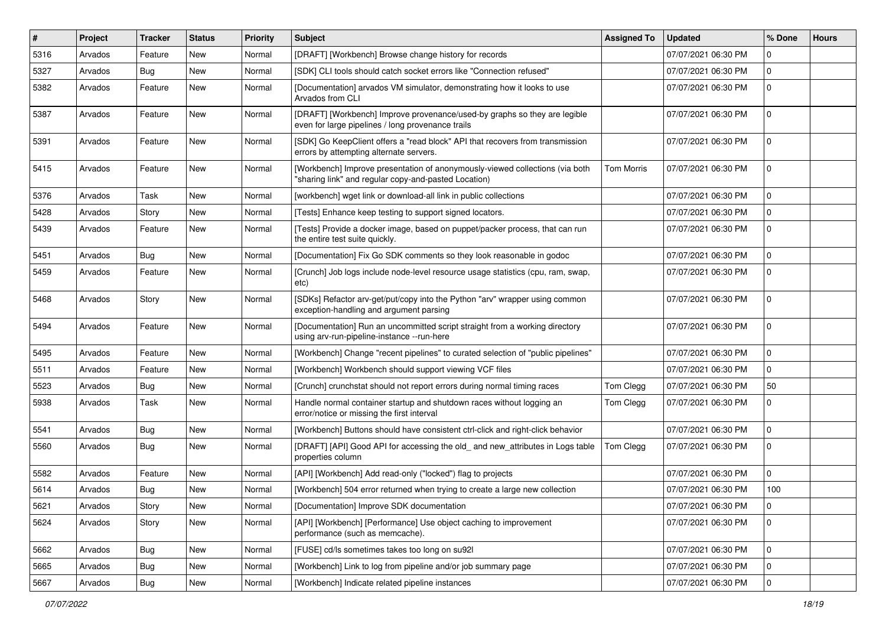| $\vert$ # | Project | Tracker    | <b>Status</b> | <b>Priority</b> | <b>Subject</b>                                                                                                                       | <b>Assigned To</b> | <b>Updated</b>      | % Done         | <b>Hours</b> |
|-----------|---------|------------|---------------|-----------------|--------------------------------------------------------------------------------------------------------------------------------------|--------------------|---------------------|----------------|--------------|
| 5316      | Arvados | Feature    | New           | Normal          | [DRAFT] [Workbench] Browse change history for records                                                                                |                    | 07/07/2021 06:30 PM | 0              |              |
| 5327      | Arvados | <b>Bug</b> | New           | Normal          | [SDK] CLI tools should catch socket errors like "Connection refused"                                                                 |                    | 07/07/2021 06:30 PM | $\mathbf 0$    |              |
| 5382      | Arvados | Feature    | New           | Normal          | [Documentation] arvados VM simulator, demonstrating how it looks to use<br>Arvados from CLI                                          |                    | 07/07/2021 06:30 PM | $\mathbf 0$    |              |
| 5387      | Arvados | Feature    | New           | Normal          | [DRAFT] [Workbench] Improve provenance/used-by graphs so they are legible<br>even for large pipelines / long provenance trails       |                    | 07/07/2021 06:30 PM | $\mathbf 0$    |              |
| 5391      | Arvados | Feature    | New           | Normal          | [SDK] Go KeepClient offers a "read block" API that recovers from transmission<br>errors by attempting alternate servers.             |                    | 07/07/2021 06:30 PM | $\mathbf 0$    |              |
| 5415      | Arvados | Feature    | New           | Normal          | [Workbench] Improve presentation of anonymously-viewed collections (via both<br>"sharing link" and regular copy-and-pasted Location) | <b>Tom Morris</b>  | 07/07/2021 06:30 PM | $\mathbf 0$    |              |
| 5376      | Arvados | Task       | New           | Normal          | [workbench] wget link or download-all link in public collections                                                                     |                    | 07/07/2021 06:30 PM | $\overline{0}$ |              |
| 5428      | Arvados | Story      | New           | Normal          | [Tests] Enhance keep testing to support signed locators.                                                                             |                    | 07/07/2021 06:30 PM | 0              |              |
| 5439      | Arvados | Feature    | New           | Normal          | [Tests] Provide a docker image, based on puppet/packer process, that can run<br>the entire test suite quickly.                       |                    | 07/07/2021 06:30 PM | $\mathbf 0$    |              |
| 5451      | Arvados | <b>Bug</b> | New           | Normal          | [Documentation] Fix Go SDK comments so they look reasonable in godoc                                                                 |                    | 07/07/2021 06:30 PM | $\mathbf 0$    |              |
| 5459      | Arvados | Feature    | New           | Normal          | [Crunch] Job logs include node-level resource usage statistics (cpu, ram, swap,<br>etc)                                              |                    | 07/07/2021 06:30 PM | $\mathbf 0$    |              |
| 5468      | Arvados | Story      | New           | Normal          | [SDKs] Refactor arv-get/put/copy into the Python "arv" wrapper using common<br>exception-handling and argument parsing               |                    | 07/07/2021 06:30 PM | $\Omega$       |              |
| 5494      | Arvados | Feature    | New           | Normal          | [Documentation] Run an uncommitted script straight from a working directory<br>using arv-run-pipeline-instance --run-here            |                    | 07/07/2021 06:30 PM | $\mathbf 0$    |              |
| 5495      | Arvados | Feature    | New           | Normal          | [Workbench] Change "recent pipelines" to curated selection of "public pipelines"                                                     |                    | 07/07/2021 06:30 PM | $\mathbf 0$    |              |
| 5511      | Arvados | Feature    | New           | Normal          | [Workbench] Workbench should support viewing VCF files                                                                               |                    | 07/07/2021 06:30 PM | $\mathbf 0$    |              |
| 5523      | Arvados | <b>Bug</b> | New           | Normal          | [Crunch] crunchstat should not report errors during normal timing races                                                              | Tom Clegg          | 07/07/2021 06:30 PM | 50             |              |
| 5938      | Arvados | Task       | New           | Normal          | Handle normal container startup and shutdown races without logging an<br>error/notice or missing the first interval                  | Tom Clegg          | 07/07/2021 06:30 PM | $\mathbf 0$    |              |
| 5541      | Arvados | <b>Bug</b> | New           | Normal          | [Workbench] Buttons should have consistent ctrl-click and right-click behavior                                                       |                    | 07/07/2021 06:30 PM | $\mathbf 0$    |              |
| 5560      | Arvados | <b>Bug</b> | New           | Normal          | [DRAFT] [API] Good API for accessing the old_ and new_attributes in Logs table<br>properties column                                  | Tom Clegg          | 07/07/2021 06:30 PM | 0              |              |
| 5582      | Arvados | Feature    | New           | Normal          | [API] [Workbench] Add read-only ("locked") flag to projects                                                                          |                    | 07/07/2021 06:30 PM | $\mathbf 0$    |              |
| 5614      | Arvados | Bug        | New           | Normal          | [Workbench] 504 error returned when trying to create a large new collection                                                          |                    | 07/07/2021 06:30 PM | 100            |              |
| 5621      | Arvados | Story      | New           | Normal          | [Documentation] Improve SDK documentation                                                                                            |                    | 07/07/2021 06:30 PM | $\mathbf 0$    |              |
| 5624      | Arvados | Story      | New           | Normal          | [API] [Workbench] [Performance] Use object caching to improvement<br>performance (such as memcache).                                 |                    | 07/07/2021 06:30 PM | $\mathbf 0$    |              |
| 5662      | Arvados | <b>Bug</b> | New           | Normal          | [FUSE] cd/ls sometimes takes too long on su92l                                                                                       |                    | 07/07/2021 06:30 PM | $\mathbf 0$    |              |
| 5665      | Arvados | Bug        | New           | Normal          | [Workbench] Link to log from pipeline and/or job summary page                                                                        |                    | 07/07/2021 06:30 PM | $\mathbf{0}$   |              |
| 5667      | Arvados | <b>Bug</b> | New           | Normal          | [Workbench] Indicate related pipeline instances                                                                                      |                    | 07/07/2021 06:30 PM | $\overline{0}$ |              |